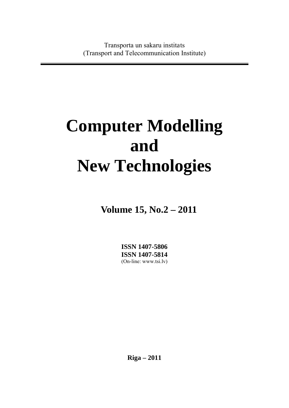# **Computer Modelling and New Technologies**

**Volume 15, No.2 – 2011** 

**ISSN 1407-5806 ISSN 1407-5814** (On-line: www.tsi.lv)

**Riga – 2011**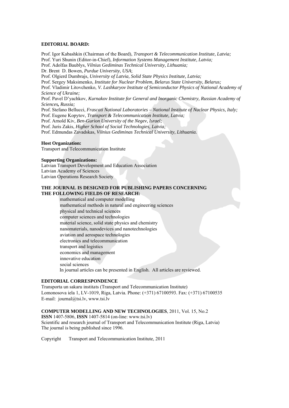# **EDITORIAL BOARD:**

Prof. Igor Kabashkin (Chairman of the Board), *Transport & Telecommunication Institute, Latvia;* Prof. Yuri Shunin (Editor-in-Chief), *Information Systems Management Institute, Latvia;*  Prof. Adolfas Baublys, *Vilnius Gediminas Technical University, Lithuania;*  Dr. Brent D. Bowen, *Purdue University, USA*; Prof. Olgierd Dumbrajs, *University of Latvia, Solid State Physics Institute, Latvia;* Prof. Sergey Maksimenko, *Institute for Nuclear Problem, Belarus State University, Belarus;*  Prof. Vladimir Litovchenko, *V. Lashkaryov Institute of Semiconductor Physics of National Academy of Science of Ukraine;* Prof. Pavel D'yachkov, *Kurnakov Institute for General and Inorganic Chemistry, Russian Academy of Sciences, Russia;*  Prof. Stefano Bellucci, *Frascati National Laboratories – National Institute of Nuclear Physics, Italy;*  Prof. Eugene Kopytov, *Transport & Telecommunication Institute, Latvia;*  Prof. Arnold Kiv, *Ben-Gurion University of the Negev, Israel;* 

Prof. Juris Zakis, *Higher School of Social Technologies, Latvia;*

Prof. Edmundas Zavadskas, *Vilnius Gediminas Technical University, Lithuania.*

#### **Host Organization:**

Transport and Telecommunication Institute

#### **Supporting Organizations:**

Latvian Transport Development and Education Association Latvian Academy of Sciences Latvian Operations Research Society

# **THE JOURNAL IS DESIGNED FOR PUBLISHING PAPERS CONCERNING THE FOLLOWING FIELDS OF RESEARCH:**

- mathematical and computer modelling
- mathematical methods in natural and engineering sciences
- physical and technical sciences
- computer sciences and technologies
- material science, solid state physics and chemistry
- nanomaterials, nanodevices and nanotechnologies
- aviation and aerospace technologies
- electronics and telecommunication
- transport and logistics
- economics and management
- innovative education
- social sciences In journal articles can be presented in English. All articles are reviewed.

# **EDITORIAL CORRESPONDENCE**

Transporta un sakaru instit ts (Transport and Telecommunication Institute) Lomonosova iela 1, LV-1019, Riga, Latvia. Phone: (+371) 67100593. Fax: (+371) 67100535 E-mail: journal@tsi.lv, www.tsi.lv

#### **COMPUTER MODELLING AND NEW TECHNOLOGIES**, 2011, Vol. 15, No.2

**ISSN** 1407-5806, **ISSN** 1407-5814 (on-line: www.tsi.lv)

Scientific and research journal of Transport and Telecommunication Institute (Riga, Latvia) The journal is being published since 1996.

Copyright © Transport and Telecommunication Institute, 2011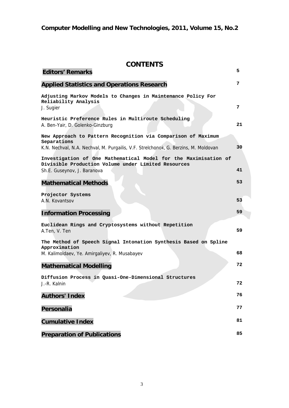# **CONTENTS**

| <b>Editors' Remarks</b>                                                                                                                                             | 5  |
|---------------------------------------------------------------------------------------------------------------------------------------------------------------------|----|
| <b>Applied Statistics and Operations Research</b>                                                                                                                   | 7  |
| Adjusting Markov Models to Changes in Maintenance Policy For<br>Reliability Analysis<br>J. Sugier                                                                   | 7  |
| Heuristic Preference Rules in Multiroute Scheduling<br>A. Ben-Yair, D. Golenko-Ginzburg                                                                             | 21 |
| New Approach to Pattern Recognition via Comparison of Maximum<br>Separations<br>K.N. Nechval, N.A. Nechval, M. Purgailis, V.F. Strelchonok, G. Berzins, M. Moldovan | 30 |
| Investigation of One Mathematical Model for the Maximisation of<br>Divisible Production Volume under Limited Resources                                              |    |
| Sh.E. Guseynov, J. Baranova                                                                                                                                         | 41 |
| <b>Mathematical Methods</b>                                                                                                                                         | 53 |
| Projector Systems<br>A.N. Kovantsov                                                                                                                                 | 53 |
| <b>Information Processing</b>                                                                                                                                       | 59 |
| Euclidean Rings and Cryptosystems without Repetition<br>A.Ten, V. Ten                                                                                               | 59 |
| The Method of Speech Signal Intonation Synthesis Based on Spline<br>Approximation                                                                                   |    |
| M. Kalimoldaev, Ye. Amirgaliyev, R. Musabayev                                                                                                                       | 68 |
| <b>Mathematical Modelling</b>                                                                                                                                       | 72 |
| Diffusion Process in Quasi-One-Dimensional Structures<br>J.-R. Kalnin                                                                                               | 72 |
| <b>Authors' Index</b>                                                                                                                                               | 76 |
| <b>Personalia</b>                                                                                                                                                   | 77 |
| <b>Cumulative Index</b>                                                                                                                                             | 81 |
| <b>Preparation of Publications</b>                                                                                                                                  | 85 |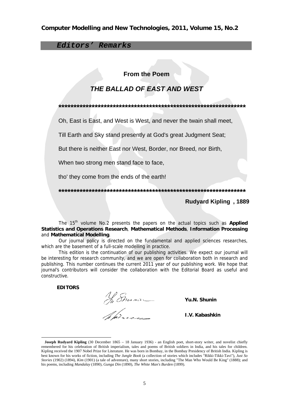*Editors' Remarks* 

# **From the Poem**

# **THE BALLAD OF EAST AND WEST**

**\*\*\*\*\*\*\*\*\*\*\*\*\*\*\*\*\*\*\*\*\*\*\*\*\*\*\*\*\*\*\*\*\*\*\*\*\*\*\*\*\*\*\*\*\*\*\*\*\*\*\*\*\*\*\*\*\*\*\*\*\*\*** 

Oh, East is East, and West is West, and never the twain shall meet,

Till Earth and Sky stand presently at God's great Judgment Seat;

But there is neither East nor West, Border, nor Breed, nor Birth,

When two strong men stand face to face,

tho' they come from the ends of the earth!

**\*\*\*\*\*\*\*\*\*\*\*\*\*\*\*\*\*\*\*\*\*\*\*\*\*\*\*\*\*\*\*\*\*\*\*\*\*\*\*\*\*\*\*\*\*\*\*\*\*\*\*\*\*\*\*\*\*\*\*\*\*\***

**Rudyard Kipling**♣**, 1889**

The 15th volume No.2 presents the papers on the actual topics such as **Applied Statistics and Operations Research**, **Mathematical Methods**, **Information Processing** and **Mathematical Modelling**.

Our journal policy is directed on the fundamental and applied sciences researches, which are the basement of a full-scale modelling in practice.

This edition is the continuation of our publishing activities. We expect our journal will be interesting for research community, and we are open for collaboration both in research and publishing. This number continues the current 2011 year of our publishing work. We hope that journal's contributors will consider the collaboration with the Editorial Board as useful and constructive.

**EDITORS** 

-

In Sman International Communications

**Yu.N. Shunin** 

**I.V. Kabashkin** 

<sup>♣</sup> **Joseph Rudyard Kipling** (30 December 1865 – 18 January 1936) - an English poet, short-story writer, and novelist chiefly remembered for his celebration of British imperialism, tales and poems of British soldiers in India, and his tales for children. Kipling received the 1907 Nobel Prize for Literature. He was born in Bombay, in the Bombay Presidency of British India. Kipling is best known for his works of fiction, including *The Jungle Book* (a collection of stories which includes "Rikki-Tikki-Tavi"), *Just So Stories* (1902) (1894), *Kim* (1901) (a tale of adventure), many short stories, including "The Man Who Would Be King" (1888); and his poems, including *Mandalay* (1890), *Gunga Din* (1890), *The White Man's Burden* (1899).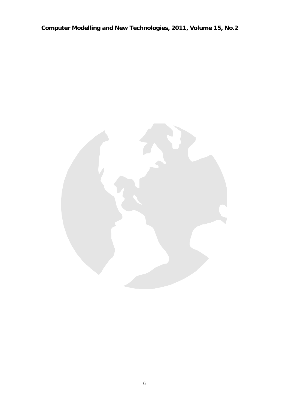**Computer Modelling and New Technologies, 2011, Volume 15, No.2** 

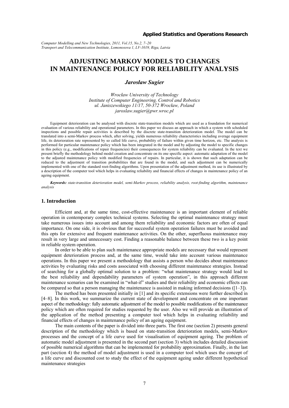*Computer Modelling and New Technologies, 2011, Vol.15, No.2, 7–20 Transport and Telecommunication Institute, Lomonosova 1, LV-1019, Riga, Latvia* 

# **ADJUSTING MARKOV MODELS TO CHANGES IN MAINTENANCE POLICY FOR RELIABILITY ANALYSIS**

*Jarosław Sugier* 

*Wrocław University of Technology Institute of Computer Engineering, Control and Robotics ul. Janiszewskiego 11/17, 50-372 Wrocław, Poland jaroslaw.sugier@pwr.wroc.pl* 

Equipment deterioration can be analysed with discrete state-transition models which are used as a foundation for numerical evaluation of various reliability and operational parameters. In this paper we discuss an approach in which a system with scheduled inspections and possible repair activities is described by the discrete state-transition deterioration model. The model can be translated into a semi-Markov process which, after solving, yields numerous reliability characteristics including average equipment life, its deterioration rate represented by so called life curve, probability of failure within given time horizon, etc. The analysis is performed for particular maintenance policy which has been integrated in the model and by adjusting the model to specific changes in this policy (e.g., modifications of repair frequencies) their consequences for system reliability can be evaluated. In the text we present briefly the methodology behind model creation and concentrate on its one specific aspect: automatic adaptation of the model to the adjusted maintenance policy with modified frequencies of repairs. In particular, it is shown that such adaptation can be reduced to the adjustment of transition probabilities that are found in the model, and such adjustment can be numerically implemented with one of the standard root-finding algorithms. Upon presentation of the adjustment method, its use is illustrated by a description of the computer tool which helps in evaluating reliability and financial effects of changes in maintenance policy of an ageing equipment.

*Keywords: state-transition deterioration model, semi-Markov process, reliability analysis, root-finding algorithm, maintenance analysis* 

#### **1. Introduction**

Efficient and, at the same time, cost-effective maintenance is an important element of reliable operation in contemporary complex technical systems. Selecting the optimal maintenance strategy must take numerous issues into account and among them reliability and economic factors are often of equal importance. On one side, it is obvious that for successful system operation failures must be avoided and this opts for extensive and frequent maintenance activities. On the other, superfluous maintenance may result in very large and unnecessary cost. Finding a reasonable balance between these two is a key point in reliable system operation.

In order to be able to plan such maintenance appropriate models are necessary that would represent equipment deterioration process and, at the same time, would take into account various maintenance operations. In this paper we present a methodology that assists a person who decides about maintenance activities by evaluating risks and costs associated with choosing different maintenance strategies. Instead of searching for a globally optimal solution to a problem: "what maintenance strategy would lead to the best reliability and dependability parameters of system operation", in this approach different maintenance scenarios can be examined in "what-if" studies and their reliability and economic effects can be compared so that a person managing the maintenance is assisted in making informed decisions ([1–3]).

The method has been presented initially in [1] and its specific extensions were further described in [4–8]. In this work, we summarize the current state of development and concentrate on one important aspect of the methodology: fully automatic adjustment of the model to possible modifications of the maintenance policy which are often required for studies requested by the user. Also we will provide an illustration of the application of the method presenting a computer tool which helps in evaluating reliability and financial effects of changes in maintenance policy of an ageing equipment.

The main contents of the paper is divided into three parts. The first one (section 2) presents general description of the methodology which is based on state-transition deterioration models, semi-Markov processes and the concept of a life curve used for visualisation of equipment ageing. The problem of automatic model adjustment is presented in the second part (section 3) which includes detailed discussion of possible numerical algorithms that can be implemented for probability approximation. Finally, in the last part (section 4) the method of model adjustment is used in a computer tool which uses the concept of a life curve and discounted cost to study the effect of the equipment ageing under different hypothetical maintenance strategies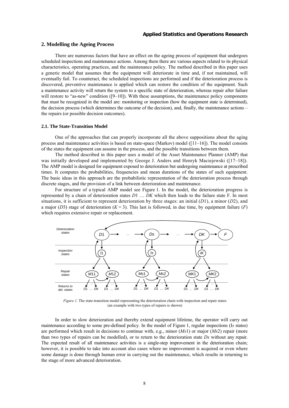# **2. Modelling the Ageing Process**

There are numerous factors that have an effect on the ageing process of equipment that undergoes scheduled inspections and maintenance actions. Among them there are various aspects related to its physical characteristics, operating practices, and the maintenance policy. The method described in this paper uses a generic model that assumes that the equipment will deteriorate in time and, if not maintained, will eventually fail. To counteract, the scheduled inspections are performed and if the deterioration process is discovered, preventive maintenance is applied which can restore the condition of the equipment. Such a maintenance activity will return the system to a specific state of deterioration, whereas repair after failure will restore to "as-new" condition ([9–10]). With these assumptions, the maintenance policy components that must be recognized in the model are: monitoring or inspection (how the equipment state is determined), the decision process (which determines the outcome of the decision), and, finally, the maintenance actions – the repairs (or possible decision outcomes).

#### **2.1. The State-Transition Model**

One of the approaches that can properly incorporate all the above suppositions about the aging process and maintenance activities is based on state-space (Markov) model ([11–16]). The model consists of the states the equipment can assume in the process, and the possible transitions between them.

The method described in this paper uses a model of the Asset Maintenance Planner (AMP) that was initially developed and implemented by George J. Anders and Henryk Maciejewski ([17–18]). The AMP model is designed for equipment exposed to deterioration but undergoing maintenance at prescribed times. It computes the probabilities, frequencies and mean durations of the states of such equipment. The basic ideas in this approach are the probabilistic representation of the deterioration process through discrete stages, and the provision of a link between deterioration and maintenance.

For structure of a typical AMP model see Figure 1. In the model, the deterioration progress is represented by a chain of deterioration states *D*1 … *DK* which then leads to the failure state F. In most situations, it is sufficient to represent deterioration by three stages: an initial (*D*1), a minor (*D*2), and a major (*D3*) stage of deterioration ( $K = 3$ ). This last is followed, in due time, by equipment failure (*F*) which requires extensive repair or replacement.



*Figure 1*. The state-transition model representing the deterioration chain with inspection and repair states (an example with two types of repairs is shown)

In order to slow deterioration and thereby extend equipment lifetime, the operator will carry out maintenance according to some pre-defined policy. In the model of Figure 1, regular inspections (I*s* states) are performed which result in decisions to continue with, e.g., minor (*Ms*1) or major (*Ms*2) repair (more than two types of repairs can be modelled), or to return to the deterioration state *Ds* without any repair. The expected result of all maintenance activities is a single-step improvement in the deterioration chain; however, it is possible to take into account also cases where no improvement is acquired or even where some damage is done through human error in carrying out the maintenance, which results in returning to the stage of more advanced deterioration.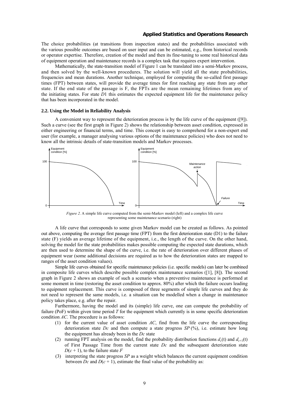The choice probabilities (at transitions from inspection states) and the probabilities associated with the various possible outcomes are based on user input and can be estimated, e.g., from historical records or operator expertise. Therefore, creation of the model and then its fine-tuning to some real historical data of equipment operation and maintenance records is a complex task that requires expert intervention.

Mathematically, the state-transition model of Figure 1 can be translated into a semi-Markov process, and then solved by the well-known procedures. The solution will yield all the state probabilities, frequencies and mean durations. Another technique, employed for computing the so-called first passage times (FPT) between states, will provide the average times for first reaching any state from any other state. If the end state of the passage is F, the FPTs are the mean remaining lifetimes from any of the initiating states. For state *D*1 this estimates the expected equipment life for the maintenance policy that has been incorporated in the model.

#### **2.2. Using the Model in Reliability Analysis**

A convenient way to represent the deterioration process is by the life curve of the equipment ([9]). Such a curve (see the first graph in Figure 2) shows the relationship between asset condition, expressed in either engineering or financial terms, and time. This concept is easy to comprehend for a non-expert end user (for example, a manager analysing various options of the maintenance policies) who does not need to know all the intrinsic details of state-transition models and Markov processes.



*Figure 2*. A simple life curve computed from the semi-Markov model (left) and a complex life curve representing some maintenance scenario (right)

A life curve that corresponds to some given Markov model can be created as follows. As pointed out above, computing the average first passage time (FPT) from the first deterioration state (D1) to the failure state (F) yields an average lifetime of the equipment, i.e., the length of the curve. On the other hand, solving the model for the state probabilities makes possible computing the expected state durations, which are then used to determine the shape of the curve, i.e. the rate of deterioration over different phases of equipment wear (some additional decisions are required as to how the deterioration states are mapped to ranges of the asset condition values).

Simple life curves obtained for specific maintenance policies (i.e. specific models) can later be combined in composite life curves which describe possible complex maintenance scenarios ([1], [8]). The second graph in Figure 2 shows an example of such a scenario when a preventive maintenance is performed at some moment in time (restoring the asset condition to approx. 80%) after which the failure occurs leading to equipment replacement. This curve is composed of three segments of simple life curves and they do not need to represent the same models, i.e. a situation can be modelled when a change in maintenance policy takes place, e.g. after the repair.

Furthermore, having the model and its (simple) life curve, one can compute the probability of failure (PoF) within given time period *T* for the equipment which currently is in some specific deterioration condition *AC*. The procedure is as follows:

- (1) for the current value of asset condition *AC*, find from the life curve the corresponding deterioration state *Dc* and then compute a state progress *SP* (%), i.e. estimate how long the equipment has already been in the *Dc* state
- (2) running FPT analysis on the model, find the probability distribution functions  $d_c(t)$  and  $d_{c+1}(t)$ of First Passage Time from the current state *Dc* and the subsequent deterioration state  $D(c + 1)$ , to the failure state *F*
- (3) interpreting the state progress *SP* as a weight which balances the current equipment condition between *Dc* and  $D(c + 1)$ , estimate the final value of the probability as: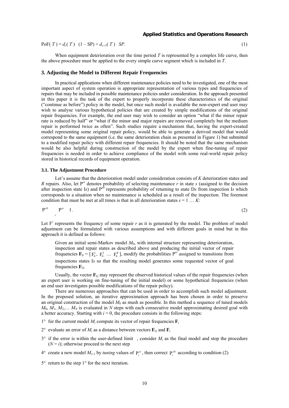$PoF(T) = d_c(T) \cdot (1 - SP) + d_{c+1}(T) \cdot SP.$  (1)

When equipment deterioration over the time period  $T$  is represented by a complex life curve, then the above procedure must be applied to the every simple curve segment which is included in *T*.

#### **3. Adjusting the Model to Different Repair Frequencies**

In practical applications when different maintenance policies need to be investigated, one of the most important aspect of system operation is appropriate representation of various types and frequencies of repairs that may be included in possible maintenance policies under consideration. In the approach presented in this paper it is the task of the expert to properly incorporate these characteristics of the original ("continue as before") policy in the model, but once such model is available the non-expert end user may wish to analyse various hypothetical policies that are created by simple modifications of the original repair frequencies. For example, the end user may wish to consider an option "what if the minor repair rate is reduced by half" or "what if the minor and major repairs are removed completely but the medium repair is performed twice as often". Such studies require a mechanism that, having the expert-created model representing some original repair policy, would be able to generate a derived model that would correspond to the same equipment (i.e. the same deterioration chain as presented in Figure 1) but submitted to a modified repair policy with different repair frequencies. It should be noted that the same mechanism would be also helpful during construction of the model by the expert when fine-tuning of repair frequencies is needed in order to achieve compliance of the model with some real-world repair policy stored in historical records of equipment operation.

#### **3.1. The Adjustment Procedure**

Let's assume that the deterioration model under consideration consists of *K* deterioration states and *R* repairs. Also, let P*sr* denotes probability of selecting maintenance *r* in state *s* (assigned to the decision after inspection state Is) and P<sup>s0</sup> represents probability of returning to state Ds from inspection Is which corresponds to a situation when no maintenance is scheduled as a result of the inspection. The foremost condition that must be met at all times is that in all deterioration states  $s = 1 \ldots K$ :

$$
P^{s0} + \sum_{r} P^{sr} = 1.
$$
 (2)

Let  $F'$  represents the frequency of some repair  $r$  as it is generated by the model. The problem of model adjustment can be formulated with various assumptions and with different goals in mind but in this approach it is defined as follows:

Given an initial semi-Markov model  $M_0$ , with internal structure representing deterioration, inspection and repair states as described above and producing the initial vector of repair frequencies  $\mathbf{F}_0 = [\mathbf{F}_0^1, \mathbf{F}_0^2, \dots, \mathbf{F}_0^R]$ , modify the probabilities  $\mathbf{P}^{sr}$  assigned to transitions from inspections states I*s* so that the resulting model generates some requested vector of goal frequencies  $\mathbf{F}_{\text{G}}$ .

Usually, the vector  $\mathbf{F}_{\text{G}}$  may represent the observed historical values of the repair frequencies (when an expert user is working on fine-tuning of the initial model) or some hypothetical frequencies (when an end user investigates possible modifications of the repair policy).

There are numerous approaches that can be used in order to accomplish such model adjustment. In the proposed solution, an iterative approximation approach has been chosen in order to preserve an original construction of the model  $M_0$  as mush as possible. In this method a sequence of tuned models  $M_0, M_1, M_2, \ldots, M_N$  is evaluated in *N* steps with each consecutive model approximating desired goal with a better accuracy. Starting with  $i = 0$ , the procedure consists in the following steps:

- 1° for the current model  $M_i$  compute its vector of repair frequencies  $\mathbf{F}_i$
- 2° evaluate an error of  $M_i$  as a distance between vectors  $\mathbf{F}_G$  and  $\mathbf{F}_i$
- 3° if the error is within the user-defined limit ε, consider *Mi* as the final model and stop the procedure  $(N = i)$ ; otherwise proceed to the next step
- $4^{\circ}$  create a new model  $M_{i+1}$  by *tuning* values of  $P_i^{sr}$ , then correct  $P_i^{s0}$  according to condition (2)
- 5° return to the step 1° for the next iteration.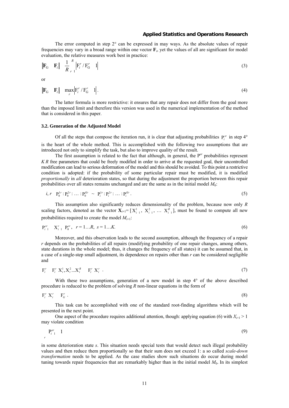The error computed in step 2° can be expressed in may ways. As the absolute values of repair frequencies may vary in a broad range within one vector  $\mathbf{F}_i$ , yet the values of all are significant for model evaluation, the relative measures work best in practice:

$$
\|\mathbf{F}_{\rm G} - \mathbf{F}_{i}\| = \frac{1}{R} \sum_{r=1}^{R} \left| \mathbf{F}_{i}^{r} / \mathbf{F}_{\rm G}^{r} - 1 \right| \tag{3}
$$

or

$$
\|\mathbf{F}_{\mathrm{G}} - \mathbf{F}_{i}\| = \max_{r} \left| \mathbf{F}_{i}^{r} / \mathbf{F}_{\mathrm{G}}^{r} - 1 \right|.
$$
\n(4)

The latter formula is more restrictive: it ensures that any repair does not differ from the goal more than the imposed limit and therefore this version was used in the numerical implementation of the method that is considered in this paper.

#### **3.2. Generation of the Adjusted Model**

Of all the steps that compose the iteration run, it is clear that adjusting probabilities  $P_i^{sr}$  in step  $4^\circ$ is the heart of the whole method. This is accomplished with the following two assumptions that are introduced not only to simplify the task, but also to improve quality of the result.

The first assumption is related to the fact that although, in general, the P*sr* probabilities represent *K*⋅*R* free parameters that could be freely modified in order to arrive at the requested goal, their uncontrolled modification can lead to serious deformation of the model and this should be avoided. To this point a restrictive condition is adopted: if the probability of some particular repair must be modified, it is modified *proportionally* in *all* deterioration states, so that during the adjustment the proportion between this repair probabilities over all states remains unchanged and are the same as in the initial model *M*<sub>0</sub>:

$$
\forall i, r \quad P_0^{1r} : P_0^{2r} : \dots : P_0^{Kr} \sim P_i^{1r} : P_i^{2r} : \dots : P_i^{Kr} .
$$
 (5)

This assumption also significantly reduces dimensionality of the problem, because now only *R* scaling factors, denoted as the vector  $X_{i+1} = [X_{i+1}^1, X_{i+1}^2, \dots, X_{i+1}^R]$ , must be found to compute all new probabilities required to create the model  $M_{i+1}$ :

$$
P_{i+1}^{sr} = X_{i+1}^r \cdot P_0^{sr}, \quad r = 1...R, \ s = 1...K.
$$
 (6)

Moreover, and this observation leads to the second assumption, although the frequency of a repair *r* depends on the probabilities of all repairs (modifying probability of one repair changes, among others, state durations in the whole model; thus, it changes the frequency of all states) it can be assumed that, in a case of a single-step small adjustment, its dependence on repairs other than *r* can be considered negligible and

$$
F_i^r = F_i^r (X_i^1, X_i^2 ... X_i^R) \approx F_i^r (X_i^r).
$$
 (7)

With these two assumptions, generation of a new model in step 4° of the above described procedure is reduced to the problem of solving *R* non-linear equations in the form of

$$
\mathbf{F}_i^r \left( \mathbf{X}_i^r \right) = \mathbf{F}_G^r \tag{8}
$$

This task can be accomplished with one of the standard root-finding algorithms which will be presented in the next point.

One aspect of the procedure requires additional attention, though: applying equation (6) with  $X_{i+1} > 1$ may violate condition

$$
\sum_{r} P_{i+1}^{sr} \le 1 \tag{9}
$$

in some deterioration state *s*. This situation needs special tests that would detect such illegal probability values and then reduce them proportionally so that their sum does not exceed 1: a so called *scale-down transformation* needs to be applied. As the case studies show such situations do occur during model tuning towards repair frequencies that are remarkably higher than in the initial model  $M<sub>0</sub>$ . In its simplest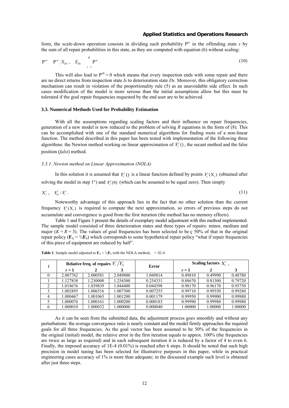form, the scale-down operation consists in dividing each probability P*sr* in the offending state *s* by the sum of all repair probabilities in this state, as they are computed with equation (6) without scaling:

$$
P^{sr} = P^{sr} / S_{Ds} , \quad S_{Ds} = \sum_{r=1}^{R} P^{sr} .
$$
 (10)

This will also lead to  $P^{s0} = 0$  which means that every inspection ends with some repair and there are no direct returns from inspection state *Is* to deterioration state *Ds*. Moreover, this obligatory correction mechanism can result in violation of the proportionality rule (5) as an unavoidable side effect. In such cases modification of the model is more serious than the initial assumptions allow but this must be tolerated if the goal repair frequencies requested by the end user are to be achieved.

#### **3.3. Numerical Methods Used for Probability Estimation**

With all the assumptions regarding scaling factors and their influence on repair frequencies, generation of a new model is now reduced to the problem of solving *R* equations in the form of (8). This can be accomplished with one of the standard numerical algorithms for finding roots of a non-linear function. The method described in this paper has been tested with implementation of the following three algorithms: the Newton method working on linear approximation of  $F_i^r()$ , the secant method and the false position (*falsi*) method.

## *3.3.1. Newton method on Linear Approximation (NOLA)*

In this solution it is assumed that  $F_i^r()$  is a linear function defined by points  $F_i^r(X_i)$  (obtained after solving the model in step  $1^{\circ}$ ) and  $F_i^r(0)$  (which can be assumed to be equal zero). Then simply

$$
X'_{i+1} = F'_G / F'_i \tag{11}
$$

Noteworthy advantage of this approach lies in the fact that no other solution than the current frequency  $F_i^r(X_i)$  is required to compute the next approximation, so errors of previous steps do not accumulate and convergence is good from the first iteration (the method has no memory effects).

Table 1 and Figure 3 present the details of exemplary model adjustment with this method implemented. The sample model consisted of three deterioration states and three types of repairs: minor, medium and major  $(K = R = 3)$ . The values of goal frequencies has been selected to be 50% of that in the original repair policy ( $\mathbf{F}_{\text{G}} = \frac{1}{2} \mathbf{F}_{0}$ ) which corresponds to some hypothetical repair policy "what if repair frequencies of this piece of equipment are reduced by half".

| <b>Relative freq. of repairs</b> $F_i^r/F_G^r$ |          |          | Error    | Scaling factors $X_{i+1}^r$ |         |         |
|------------------------------------------------|----------|----------|----------|-----------------------------|---------|---------|
| $r=1$                                          |          |          |          | $r=1$                       |         |         |
| 2.007762                                       | 2.000581 | 2.049800 | 1.049814 | 0.49810                     | 0.49990 | 0.48780 |
| 1.127838                                       | 1.230000 | 1.254300 | 0.254331 | 0.88670                     | 0.81300 | 0.79720 |
| 1.018676                                       | 1.039839 | 1.044400 | 0.044398 | 0.98170                     | 0.96170 | 0.95750 |
| 1.002895                                       | 1.006516 | 1.007300 | 0.007255 | 0.99710                     | 0.99350 | 0.99280 |
| 1.000467                                       | 1.001065 | 1.001200 | 0.001179 | 0.99950                     | 0.99900 | 0.99880 |
| 1.000076                                       | 1.000161 | 1.000200 | 0.000183 | 0.99990                     | 0.99980 | 0.99980 |
| 1.000010                                       | .000032  | 1.000000 | 0.000040 | 1.00000                     | 1.00000 | 1.00000 |

**Table 1.** Sample model adjusted to  $\mathbf{F}_{G} = \frac{1}{2}\mathbf{F}_{0}$  with the NOLA method,  $\varepsilon = 1E-4$ 

As it can be seen from the submitted data, the adjustment process goes smoothly and without any perturbations: the average convergence ratio is nearly constant and the model firmly approaches the required goals for all three frequencies. As the goal vector has been assumed to be 50% of the frequencies in the original (initial) model, the relative error in the first iteration equals to approx. 100% (the frequencies are twice as large as required) and in each subsequent iteration it is reduced by a factor of 4 to even 6. Finally, the imposed accuracy of 1E-4 (0.01%) is reached after 6 steps. It should be noted that such high precision in model tuning has been selected for illustrative purposes in this paper, while in practical engineering cases accuracy of 1% is more than adequate; in the discussed example such level is obtained after just three steps.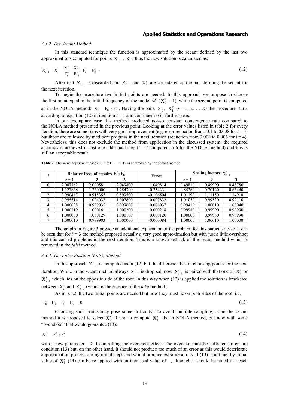#### *3.3.2. The Secant Method*

In this standard technique the function is approximated by the secant defined by the last two approximations computed for points  $X'_{i-1}$ ,  $X'_{i}$ ; thus the new solution is calculated as:

$$
X'_{i+1} = X'_{i} - \frac{X'_{i} - X'_{i-1}}{F'_{i} - F'_{i-1}} \left( F'_{i} - F'_{i} \right) \,. \tag{12}
$$

After that  $X_{i-1}^r$  is discarded and  $X_{i+1}^r$  and  $X_i^r$  are considered as the pair defining the secant for the next iteration.

To begin the procedure two initial points are needed. In this approach we propose to choose the first point equal to the initial frequency of the model  $M_0$  ( $X_0^r = 1$ ), while the second point is computed as in the NOLA method:  $X_1^r = F_G^r / F_0^r$ . Having the pairs  $X_0^r$ ,  $X_1^r$  ( $r = 1, 2, ... R$ ) the procedure starts according to equation (12) in iteration  $i = 1$  and continues so in further steps.

In our exemplary case this method produced not-so constant convergence rate compared to the NOLA method presented in the previous point. Looking at the error values listed in table 2 for every iteration, there are some steps with very good improvement (e.g. error reduction from  $-0.1$  to 0.008 for  $i = 3$ ) but those are followed by mediocre progress in the next iteration (reduction from  $0.008$  to  $0.006$  for  $i = 4$ ). Nevertheless, this does not exclude the method from application in the discussed system: the required accuracy is achieved in just one additional step  $(i = 7$  compared to 6 for the NOLA method) and this is still an acceptable result.

|          | <b>Relative freq. of repairs</b> $F_i^r/F_G^r$ |          |          | Error       | Scaling factors $X_{i+1}^r$ |         |         |
|----------|------------------------------------------------|----------|----------|-------------|-----------------------------|---------|---------|
|          | $r=1$                                          |          |          |             | $r=1$                       |         |         |
| $\theta$ | 2.007762                                       | 2.000581 | 2.049800 | 1.049814    | 0.49810                     | 0.49990 | 0.48780 |
|          | 1.127838                                       | 1.230000 | 1.254300 | 0.254331    | 0.85360                     | 0.70140 | 0.66440 |
|          | 0.990467                                       | 0.918355 | 0.893500 | $-0.106504$ | 1.01190                     | 1.11150 | 1.14910 |
|          | 0.995514                                       | 1.004032 | 1.007800 | 0.007832    | 1.01050                     | 0.99530 | 0.99110 |
| 4        | 1.006038                                       | 0.999935 | 0.999600 | 0.006037    | 0.99410                     | 1.00010 | 1.00040 |
|          | 1.000219                                       | 1.000161 | 1.000200 | 0.000218    | 0.99980                     | 0.99990 | 0.99990 |
| h        | 000000.1                                       | 1.000129 | 1.000100 | 0.000120    | 1.00000                     | 0.99980 | 0.99990 |
|          | .000010                                        | 0.999903 | .000000  | $-0.000084$ | .00000                      | 1.00010 | 1.00000 |

**Table 2.** The same adjustment case ( $\mathbf{F}_G = \frac{1}{2} \mathbf{F}_0$ ,  $\varepsilon = 1E-4$ ) controlled by the secant method

The graphs in Figure 3 provide an additional explanation of the problem for this particular case. It can be seen that for *i =* 3 the method proposed actually a very good approximation but with just a little overshoot and this caused problems in the next iteration. This is a known setback of the secant method which is removed in the *falsi* method.

#### *3.3.3. The False Position (Falsi) Method*

In this approach  $X_{i+1}^r$  is computed as in (12) but the difference lies in choosing points for the next iteration. While in the secant method always  $X_{i-1}^r$  is dropped, now  $X_{i+1}^r$  is paired with that one of  $X_i^r$  or  $X_{i-1}^r$  which lies on the opposite side of the root. In this way when (12) is applied the solution is bracketed between  $X_i^r$  and  $X_{i-1}^r$  (which is the essence of the *falsi* method).

As in 3.3.2, the two initial points are needed but now they must lie on both sides of the root, i.e.

$$
(F_0^r - F_0^r) \cdot (F_1^r - F_0^r) < 0
$$
\n(13)

Choosing such points may pose some difficulty. To avoid multiple sampling, as in the secant method it is proposed to select  $X_0^r = 1$  and to compute  $X_1^r$  like in NOLA method, but now with some "overshoot" that would guarantee (13):

$$
X_1' = \left( F_G' / F_0' \right)^\alpha \tag{14}
$$

with a new parameter  $\alpha > 1$  controlling the overshoot effect. The overshot must be sufficient to ensure condition (13) but, on the other hand, it should not produce too much of an error as this would deteriorate approximation process during initial steps and would produce extra iterations. If (13) is not met by initial value of  $X_1^r$  (14) can be re-applied with an increased value of  $\alpha$ , although it should be noted that each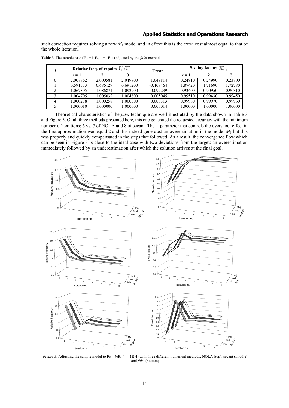such correction requires solving a new  $M_1$  model and in effect this is the extra cost almost equal to that of the whole iteration.

| <b>Relative freq. of repairs</b> $F_i^r/F_G^r$ |          |          | Error       | Scaling factors $X_{i+1}^r$ |         |         |
|------------------------------------------------|----------|----------|-------------|-----------------------------|---------|---------|
| $r=1$                                          |          |          |             | $r=1$                       |         |         |
| 2.007762                                       | 2.000581 | 2.049800 | 1.049814    | 0.24810                     | 0.24990 | 0.23800 |
| 0.591533                                       | 0.686129 | 0.691200 | $-0.408464$ | 1.87420                     | 1.71690 | 1.72780 |
| 1.067305                                       | 1.086871 | 1.092200 | 0.092239    | 0.93400                     | 0.90950 | 0.90310 |
| 1.004705                                       | 1.005032 | 1.004800 | 0.005045    | 0.99510                     | 0.99430 | 0.99450 |
| 1.000238                                       | 1.000258 | 1.000300 | 0.000313    | 0.99980                     | 0.99970 | 0.99960 |
| 1.000010                                       | 1.000000 | 1.000000 | 0.000014    | 1.00000                     | 1.00000 | 1.00000 |

**Table 3**. The sample case ( $\mathbf{F}_G = \frac{1}{2} \mathbf{F}_0$ ,  $\varepsilon = 1E-4$ ) adjusted by the *falsi* method

Theoretical characteristics of the *falsi* technique are well illustrated by the data shown in Table 3 and Figure 3. Of all three methods presented here, this one generated the requested accuracy with the minimum number of iterations: 6 vs. 7 of NOLA and 8 of secant. The  $\alpha$  parameter that controls the overshoot effect in the first approximation was equal 2 and this indeed generated an overestimation in the model  $M_1$  but this was properly and quickly compensated in the steps that followed. As a result, the convergence flow which can be seen in Figure 3 is close to the ideal case with two deviations from the target: an overestimation immediately followed by an underestimation after which the solution arrives at the final goal.



*Figure 3*. Adjusting the sample model to  $\mathbf{F}_G = \frac{1}{2}\mathbf{F}_0$  ( $\varepsilon = 1E-4$ ) with three different numerical methods: NOLA (top), secant (middle) and *falsi* (bottom)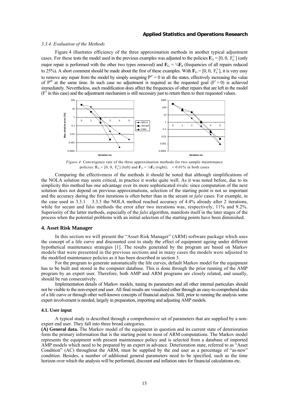#### *3.3.4. Evaluation of the Methods*

Figure 4 illustrates efficiency of the three approximation methods in another typical adjustment cases. For these tests the model used in the previous examples was adjusted to the policies  $\mathbf{F}_{G} = [0, 0, F_0^3]$  (only major repair is performed with the other two types removed) and  $\mathbf{F}_{G} = \frac{1}{4}\mathbf{F}_{0}$  (frequencies of all repairs reduced to 25%). A short comment should be made about the first of these examples. With  $\mathbf{F}_{G} = [0, 0, F_{0}^{3}]$ , it is very easy to remove any repair from the model by simply assigning  $P<sup>yr</sup> = 0$  in all the states, effectively increasing the value of  $P^{0}$  at the same time. In such case no adjustment is required as the requested goal ( $F' = 0$ ) is achieved immediately. Nevertheless, such modification does affect the frequencies of other repairs that are left in the model  $(F<sup>3</sup>$  in this case) and the adjustment mechanism is still necessary just to return them to their requested values.



policies:  $\mathbf{F}_{\text{G}} = [0, 0, F_0^3]$  (left) and  $\mathbf{F}_{\text{G}} = \frac{1}{4} \mathbf{F}_0$  (right);  $\varepsilon = 0.01\%$  in both cases

Comparing the effectiveness of the methods it should be noted that although simplifications of the NOLA solution may seem critical, in practice it works quite well. As it was noted before, due to its simplicity this method has one advantage over its more sophisticated rivals: since computation of the next solution does not depend on previous approximations, selection of the starting point is not so important and the accuracy during the first iterations is often better than in the secant or *falsi* cases. For example, in the case used in  $3.3.1 \div 3.3.3$  the NOLA method reached accuracy of 4.4% already after 2 iterations, while for secant and falsi methods the error after two iterations was, respectively, 11% and 9.2%. Superiority of the latter methods, especially of the *falsi* algorithm, manifests itself in the later stages of the process when the potential problems with an initial selection of the starting points have been diminished.

#### **4. Asset Risk Manager**

In this section we will present the "Asset Risk Manager" (ARM) software package which uses the concept of a life curve and discounted cost to study the effect of equipment ageing under different hypothetical maintenance strategies [1]. The results generated by the program are based on Markov models that were presented in the previous sections and in many cases the models were adjusted to the modified maintenance policies as it has been described in section 3.

For the program to generate automatically the life curves, default Markov model for the equipment has to be built and stored in the computer database. This is done through the prior running of the AMP program by an expert user. Therefore, both AMP and ARM programs are closely related, and usually, should be run consecutively.

Implementation details of Markov models, tuning its parameters and all other internal particulars should not be visible to the non-expert end user. All final results are visualized either through an easy-to-comprehend idea of a life curve or through other well-known concepts of financial analysis. Still, prior to running the analysis some expert involvement is needed, largely in preparation, importing and adjusting AMP models.

#### **4.1. User input**

A typical study is described through a comprehensive set of parameters that are supplied by a nonexpert end user. They fall into three broad categories.

**(A) General data.** The Markov model of the equipment in question and its current state of deterioration form the primary information that is the starting point to most of ARM computations. The Markov model represents the equipment with present maintenance policy and is selected from a database of imported AMP models which need to be prepared by an expert in advance. Deterioration state, referred to as "Asset Condition" (AC) throughout the ARM, must be supplied by the end user as a percentage of "as-new" condition. Besides, a number of additional general parameters need to be specified, such as the time horizon over which the analysis will be performed, discount and inflation rates for financial calculations etc.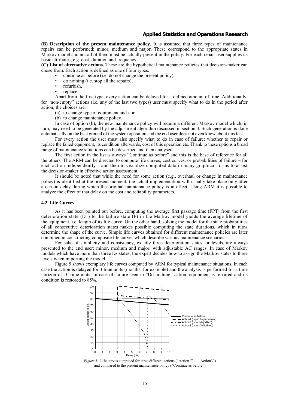**(B) Description of the present maintenance policy.** It is assumed that three types of maintenance repairs can be performed: minor, medium and major. These correspond to the appropriate states in Markov model and not all of them must be actually present in the policy. For each repair user supplies its basic attributes, e.g. cost, duration and frequency.

**(C) List of alternative actions.** These are the hypothetical maintenance policies that decision-maker can chose from. Each action is defined as one of four types:

- continue as before (i.e. do not change the present policy),
- do nothing (i.e. stop all the repairs),
- refurbish,
- replace.

Apart from the first type, every action can be delayed for a defined amount of time. Additionally, for "non-empty" actions (i.e. any of the last two types) user must specify what to do in the period after action; the choices are:

- (a) to change type of equipment and / or
- (b) to change maintenance policy.

In case of option (b), the new maintenance policy will require a different Markov model which, in turn, may need to be generated by the adjustment algorithm discussed in section 3. Such generation is done automatically on the background of the system operation and the end user does not even know about this fact.

For every action the user must also specify what to do in case of failure: whether to repair or replace the failed equipment, its condition afterwards, cost of this operation etc. Thank to these options a broad range of maintenance situations can be described and then analysed.

The first action in the list is always "Continue as before" and this is the base of reference for all the others. The ARM can be directed to compute life curves, cost curves, or probabilities of failure – for each action independently – and then to visualize computed data in many graphical forms to assist the decision-maker in effective action assessment.

It should be noted that while the need for some action (e.g., overhaul or change in maintenance policy) is identified at the present moment, the actual implementation will usually take place only after a certain delay during which the original maintenance policy is in effect. Using ARM it is possible to analyze the effect of that delay on the cost and reliability parameters.

#### **4.2. Life Curves**

As it has been pointed out before, computing the average first passage time (FPT) from the first deterioration state  $(D1)$  to the failure state  $(F)$  in the Markov model yields the average lifetime of the equipment, i.e. length of its life curve. On the other hand, solving the model for the state probabilities of all consecutive deterioration states makes possible computing the state durations, which in turns determine the shape of the curve. Simple life curves obtained for different maintenance policies are later combined in constructing composite life curves which describe various maintenance scenarios.

For sake of simplicity and consistency, exactly three deterioration states, or levels, are always presented to the end user: minor, medium and major, with adjustable AC ranges. In case of Markov models which have more than three D*s* states, the expert decides how to assign the Markov states to three levels when importing the model.

Figure 5 shows exemplary life curves computed by ARM for typical maintenance situations. In each case the action is delayed for 3 time units (months, for example) and the analysis is performed for a time horizon of 10 time units. In case of failure seen in "Do nothing" action, equipment is repaired and its condition is restored to 85%.



*Figure 5.* Life curves computed for three different actions ("Action1" ... "Action3") and compared to the present maintenance policy ("Continue as before")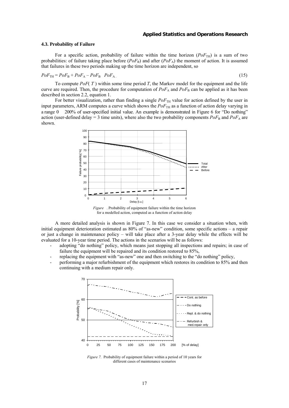#### **4.3. Probability of Failure**

For a specific action, probability of failure within the time horizon  $(PoF<sub>TH</sub>)$  is a sum of two probabilities: of failure taking place before  $(PoF_B)$  and after  $(PoF_A)$  the moment of action. It is assumed that failures in these two periods making up the time horizon are independent, so

$$
PoF_{\text{TH}} = PoF_{\text{B}} + PoF_{\text{A}} - PoF_{\text{B}} \cdot PoF_{\text{A}} \tag{15}
$$

To compute *PoF*( *T* ) within some time period *T*, the Markov model for the equipment and the life curve are required. Then, the procedure for computation of  $PoF_A$  and  $PoF_B$  can be applied as it has been described in section 2.2, equation 1.

For better visualization, rather than finding a single  $PoF<sub>TH</sub>$  value for action defined by the user in input parameters, ARM computes a curve which shows the  $PoF<sub>TH</sub>$  as a function of action delay varying in a range  $0 \div 200\%$  of user-specified initial value. An example is demonstrated in Figure 6 for "Do nothing" action (user-defined delay = 3 time units), where also the two probability components  $PoF_B$  and  $PoF_A$  are shown.



*Figure* 6. Probability of equipment failure within the time horizon for a modelled action, computed as a function of action delay

A more detailed analysis is shown in Figure 7. In this case we consider a situation when, with initial equipment deterioration estimated as 80% of "as-new" condition, some specific actions – a repair or just a change in maintenance policy – will take place after a 3-year delay while the effects will be evaluated for a 10-year time period. The actions in the scenarios will be as follows:

- adopting "do nothing" policy, which means just stopping all inspections and repairs; in case of failure the equipment will be repaired and its condition restored to 85%,
- replacing the equipment with "as-new" one and then switching to the "do nothing" policy,
- performing a major refurbishment of the equipment which restores its condition to 85% and then continuing with a medium repair only.



*Figure 7.* Probability of equipment failure within a period of 10 years for different cases of maintenance scenarios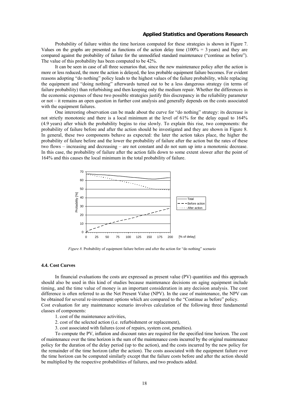Probability of failure within the time horizon computed for these strategies is shown in Figure 7. Values on the graphs are presented as functions of the action delay time  $(100\% = 3 \text{ years})$  and they are compared against the probability of failure for the unmodified standard maintenance ("continue as before"). The value of this probability has been computed to be 42%.

It can be seen in case of all three scenarios that, since the new maintenance policy after the action is more or less reduced, the more the action is delayed, the less probable equipment failure becomes. For evident reasons adopting "do nothing" policy leads to the highest values of the failure probability, while replacing the equipment and "doing nothing" afterwards turned out to be a less dangerous strategy (in terms of failure probability) than refurbishing and then keeping only the medium repair. Whether the differences in the economic expenses of these two possible strategies justify this discrepancy in the reliability parameter or not – it remains an open question in further cost analysis and generally depends on the costs associated with the equipment failures.

One interesting observation can be made about the curve for "do nothing" strategy: its decrease is not strictly monotonic and there is a local minimum at the level of 61% for the delay equal to 164% (4.9 years) after which the probability begins to rise slowly. To explain this rise, two components: the probability of failure before and after the action should be investigated and they are shown in Figure 8. In general, these two components behave as expected: the later the action takes place, the higher the probability of failure before and the lower the probability of failure after the action but the rates of these two flows – increasing and decreasing – are not constant and do not sum up into a monotonic decrease. In this case, the probability of failure after the action falls down to some extent slower after the point of 164% and this causes the local minimum in the total probability of failure.



*Figure 8.* Probability of equipment failure before and after the action for "do nothing" scenario

## **4.4. Cost Curves**

In financial evaluations the costs are expressed as present value (PV) quantities and this approach should also be used in this kind of studies because maintenance decisions on aging equipment include timing, and the time value of money is an important consideration in any decision analysis. The cost difference is often referred to as the Net Present Value (NPV). In the case of maintenance, the NPV can be obtained for several re-investment options which are compared to the "Continue as before" policy. Cost evaluation for any maintenance scenario involves calculation of the following three fundamental classes of components:

- 1. cost of the maintenance activities,
- 2. cost of the selected action (i.e. refurbishment or replacement),
- 3. cost associated with failures (cost of repairs, system cost, penalties).

To compute the PV, inflation and discount rates are required for the specified time horizon. The cost of maintenance over the time horizon is the sum of the maintenance costs incurred by the original maintenance policy for the duration of the delay period (up to the action), and the costs incurred by the new policy for the remainder of the time horizon (after the action). The costs associated with the equipment failure over the time horizon can be computed similarly except that the failure costs before and after the action should be multiplied by the respective probabilities of failures, and two products added.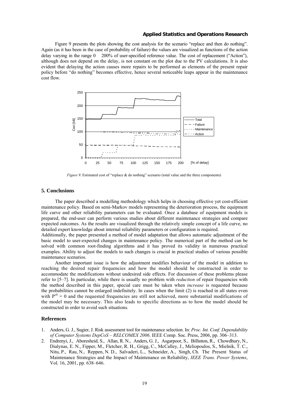Figure 9 presents the plots showing the cost analysis for the scenario "replace and then do nothing". Again (as it has been in the case of probability of failure) the values are visualized as functions of the action delay varying in the range  $0 \div 200\%$  of user-specified reference value. The cost of replacement ("Action"), although does not depend on the delay, is not constant on the plot due to the PV calculations. It is also evident that delaying the action causes more repairs to be performed as elements of the present repair policy before "do nothing" becomes effective, hence several noticeable leaps appear in the maintenance cost flow.



*Figure 9.* Estimated cost of "replace & do nothing" scenario (total value and the three components)

#### **5. Conclusions**

The paper described a modelling methodology which helps in choosing effective yet cost-efficient maintenance policy. Based on semi-Markov models representing the deterioration process, the equipment life curve and other reliability parameters can be evaluated. Once a database of equipment models is prepared, the end-user can perform various studies about different maintenance strategies and compare expected outcomes. As the results are visualized through the relatively simple concept of a life curve, no detailed expert knowledge about internal reliability parameters or configuration is required.

Additionally, the paper presented a method of model adaptation that allows automatic adjustment of the basic model to user-expected changes in maintenance policy. The numerical part of the method can be solved with common root-finding algorithms and it has proved its validity in numerous practical examples. Ability to adjust the models to such changes is crucial in practical studies of various possible maintenance scenarios.

Another important issue is how the adjustment modifies behaviour of the model in addition to reaching the desired repair frequencies and how the model should be constructed in order to accommodate the modifications without undesired side effects. For discussion of these problems please refer to [5–7]. In particular, while there is usually no problem with *reduction* of repair frequencies with the method described in this paper, special care must be taken when *increase* is requested because the probabilities cannot be enlarged indefinitely. In cases when the limit (2) is reached in all states even with  $P^{s0} = 0$  and the requested frequencies are still not achieved, more substantial modifications of the model may be necessary. This also leads to specific directions as to how the model should be constructed in order to avoid such situations.

#### **References**

- 1. Anders, G. J., Sugier, J. Risk assessment tool for maintenance selection. In: *Proc. Int. Conf. Dependability of Computer Systems DepCoS – RELCOMEX 2006*. IEEE Comp. Soc. Press, 2006, pp. 306–313.
- 2. Endrenyi, J., Aboresheid, S., Allan, R. N., Anders, G. J., Asgarpoor, S., Billinton, R., Chowdhury, N., Dialynas, E. N., Fipper, M., Fletcher, R. H., Grigg, C., McCalley, J., Meliopoulos, S., Mielnik, T. C., Nitu, P., Rau, N., Reppen, N. D., Salvaderi, L., Schneider, A., Singh, Ch. The Present Status of Maintenance Strategies and the Impact of Maintenance on Reliability, *IEEE Trans. Power Systems*, Vol. 16, 2001, pp. 638–646.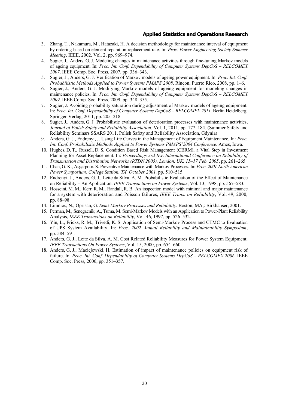- 3. Zhang, T., Nakamura, M., Hatazaki, H. A decision methodology for maintenance interval of equipment by ordering based on element reparation-replacement rate. In: *Proc. Power Engineering Society Summer Meeting*. IEEE, 2002. Vol. 2, pp. 969–974.
- 4. Sugier, J., Anders, G. J. Modeling changes in maintenance activities through fine-tuning Markov models of ageing equipment. In: *Proc. Int. Conf. Dependability of Computer Systems DepCoS – RELCOMEX 2007*. IEEE Comp. Soc. Press, 2007, pp. 336–343.
- 5. Sugier, J., Anders, G. J. Verification of Markov models of ageing power equipment. In: *Proc. Int. Conf. Probabilistic Methods Applied to Power Systems PMAPS'2008*. Rincon, Puerto Rico, 2008, pp. 1–6.
- 6. Sugier, J., Anders, G. J. Modifying Markov models of ageing equipment for modeling changes in maintenance policies. In: *Proc. Int. Conf. Dependability of Computer Systems DepCoS – RELCOMEX 2009*. IEEE Comp. Soc. Press, 2009, pp. 348–355.
- 7. Sugier, J. Avoiding probability saturation during adjustment of Markov models of ageing equipment. In: *Proc. Int. Conf. Dependability of Computer Systems DepCoS – RELCOMEX 2011*. Berlin Heidelberg: Springer-Verlag, 2011, pp. 205–218.
- 8. Sugier, J., Anders, G. J. Probabilistic evaluation of deterioration processes with maintenance activities, *Journal of Polish Safety and Reliability Association*, Vol. 1, 2011, pp. 177–184. (Summer Safety and Reliability Seminars SSARS 2011, Polish Safety and Reliability Association, Gdynia)
- 9. Anders, G. J., Endrenyi, J. Using Life Curves in the Management of Equipment Maintenance. In: *Proc. Int. Conf. Probabilistic Methods Applied to Power Systems PMAPS'2004 Conference*. Ames, Iowa.
- 10. Hughes, D. T., Russell, D. S. Condition Based Risk Management (CBRM), a Vital Step in Investment Planning for Asset Replacement. In: *Proceedings 3rd IEE International Conference on Reliability of Transmission and Distribution Networks (RTDN 2005). London, UK, 15–17 Feb. 2005*, pp. 261–265.
- 11. Chan, G. K., Asgarpoor, S. Preventive Maintenance with Markov Processes. In: *Proc. 2001 North American Power Symposium. College Station, TX, October 2001,* pp. 510–515.
- 12. Endrenyi, J., Anders, G. J., Leite da Silva, A. M. Probabilistic Evaluation of the Effect of Maintenance on Reliability – An Application. *IEEE Transactions on Power Systems*, Vol. 13, 1998, pp. 567–583.
- 13. Hosseini, M. M., Kerr, R. M., Randall, R. B. An inspection model with minimal and major maintenance for a system with deterioration and Poisson failures, *IEEE Trans. on Reliability*, Vol. 49, 2000, pp. 88–98.
- 14. Limnios, N., Oprisan, G. *Semi-Markov Processes and Reliability*. Boston, MA,: Birkhauser, 2001.
- 15. Perman, M., Senegacnik, A., Tuma, M. Semi-Markov Models with an Application to Power-Plant Reliability Analysis, *IEEE Transactions on Reliability*, Vol. 46, 1997, pp. 526–532.
- 16. Yin, L., Fricks, R. M., Trivedi, K. S. Application of Semi-Markov Process and CTMC to Evaluation of UPS System Availability. In: *Proc. 2002 Annual Reliability and Maintainability Symposium*, pp. 584–591.
- 17. Anders, G. J., Leite da Silva, A. M. Cost Related Reliability Measures for Power System Equipment, *IEEE Transactions On Power Systems*, Vol. 15, 2000, pp. 654–660.
- 18. Anders, G. J., Maciejewski, H. Estimation of impact of maintenance policies on equipment risk of failure. In: *Proc. Int. Conf. Dependability of Computer Systems DepCoS – RELCOMEX 2006*. IEEE Comp. Soc. Press, 2006, pp. 351–357.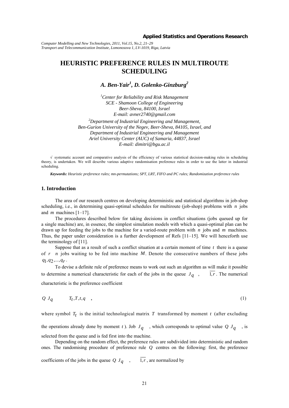*Computer Modelling and New Technologies, 2011, Vol.15, No.2, 21–29 Transport and Telecommunication Institute, Lomonosova 1, LV-1019, Riga, Latvia* 

# **HEURISTIC PREFERENCE RULES IN MULTIROUTE SCHEDULING**

# *A. Ben-Yair1 , D. Golenko-Ginzburg2*

*1 Center for Reliability and Risk Management SCE - Shamoon College of Engineering Beer-Sheva, 84100, Israel E-mail: avner2740@gmail.com* 

*2 Department of Industrial Engineering and Management, Ben-Gurion University of the Negev, Beer-Sheva, 84105, Israel, and Department of Industrial Engineering and Management Ariel University Center (AUC) of Samaria, 44837, Israel E-mail: dimitri@bgu.ac.il* 

 systematic account and comparative analysis of the efficiency of various statistical decision-making rules in scheduling theory, is undertaken. We will describe various adaptive randomisation preference rules in order to use the latter in industrial scheduling.

*Keywords: Heuristic preference rules; mn-permutations; SPT, LRT, FIFO and PC rules; Randomization preference rules* 

# **1. Introduction**

The area of our research centres on developing deterministic and statistical algorithms in job-shop scheduling, i.e., in determining quasi-optimal schedules for multiroute (job-shop) problems with *n* jobs and *m* machines [1–17].

The procedures described below for taking decisions in conflict situations (jobs queued up for a single machine) are, in essence, the simplest simulation models with which a quasi-optimal plan can be drawn up for feeding the jobs to the machine for a varied-route problem with *n* jobs and *m* machines. Thus, the paper under consideration is a further development of Refs [11–15]. We will henceforth use the terminology of [11].

Suppose that as a result of such a conflict situation at a certain moment of time *t* there is a queue of  $r \leq n$  jobs waiting to be fed into machine M. Denote the consecutive numbers of these jobs  $q_1, q_2, ..., q_r$ .

To devise a definite rule of preference means to work out such an algorithm as will make it possible to determine a numerical characteristic for each of the jobs in the queue  $J_{q\xi}$ ,  $\xi = \overline{1,r}$ . The numerical characteristic is the preference coefficient

$$
Q\big\{J_{q\xi}\big\} = \varphi\big\{T_t, T, t, q\xi\big\},\tag{1}
$$

where symbol  $T_t$  is the initial technological matrix  $T$  transformed by moment  $t$  (after excluding the operations already done by moment *t*). Job  $J_{q\xi}$ , which corresponds to optimal value  $Q\left\{J_{q\xi}\right\}$ , is selected from the queue and is fed first into the machine.

Depending on the random effect, the preference rules are subdivided into deterministic and random ones. The randomising procedure of preference rule *Q* centres on the following: first, the preference coefficients of the jobs in the queue  $Q\left\{J_{q\xi}\right\}$ ,  $\xi = \overline{1,r}$ , are normalized by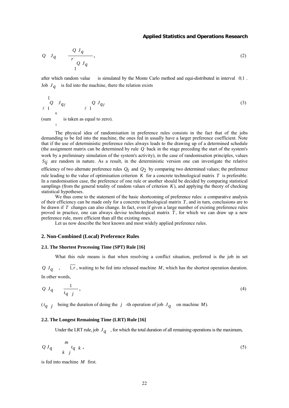$$
Q^*\left\{J_{q\xi}\right\} = \frac{Q\left\{J_{q\xi}\right\}}{\sum_{\eta=1}^r Q\left\{J_{q\eta}\right\}},\tag{2}
$$

after which random value  $\gamma$  is simulated by the Monte Carlo method and equi-distributed in interval  $[0;1]$ . Job  $J_{q\xi}$  is fed into the machine, there the relation exists

$$
\sum_{\ell=1}^{\xi-1} Q^* \Big\{ J_{q_{\ell}} \Big\} < \gamma \le \sum_{\ell=1}^{\xi} Q \Big\{ J_{q_{\ell}} \Big\} \tag{3}
$$

(sum ∑ 1 is taken as equal to zero).

The physical idea of randomisation in preference rules consists in the fact that of the jobs demanding to be fed into the machine, the ones fed in usually have a larger preference coefficient. Note that if the use of deterministic preference rules always leads to the drawing up of a determined schedule (the assignment matrix can be determined by rule *Q* back in the stage preceding the start of the system's work by a preliminary simulation of the system's activity), in the case of randomisation principles, values  $S_{ij}$  are random in nature. As a result, in the deterministic version one can investigate the relative

efficiency of two alternate preference rules *Q*1 and *Q*2 by comparing two determined values; the preference rule leading to the value of optimisation criterion *K* for a concrete technological matrix *T* is preferable. In a randomisation case, the preference of one rule or another should be decided by comparing statistical samplings (from the general totality of random values of criterion  $K$ ), and applying the theory of checking statistical hypotheses.

We thus come to the statement of the basic shortcoming of preference rules: a comparative analysis of their efficiency can be made only for a concrete technological matrix *T*, and in turn, conclusions are to be drawn if *T* changes can also change. In fact, even if given a large number of existing preference rules proved in practice, one can always devise technological matrix  $T$ , for which we can draw up a new preference rule, more efficient than all the existing ones.

Let us now describe the best known and most widely applied preference rules.

#### **2. Non-Combined (Local) Preference Rules**

#### **2.1. The Shortest Processing Time (SPT) Rule [16]**

What this rule means is that when resolving a conflict situation, preferred is the job in set  $Q\left\{J_{q\xi}\right\}$ ,  $\xi = \overline{1,r}$ , waiting to be fed into released machine *M*, which has the shortest operation duration. In other words,

$$
Q\Big\{J_{q\xi}\Big\} = \frac{1}{t_{q\xi j\xi}},\tag{4}
$$

( $t_{q\xi}$  *j* $\xi$  being the duration of doing the *j* $\xi$ -th operation of job  $J_{q\xi}$  on machine *M*).

#### **2.2. The Longest Remaining Time (LRT) Rule [16]**

Under the LRT rule, job  $J_{q\xi}$ , for which the total duration of all remaining operations is the maximum,

$$
Q\left\{I_{q\xi}\right\} = \sum_{k=j}^{m} t_{q\xi k} , \qquad (5)
$$

is fed into machine *M* first.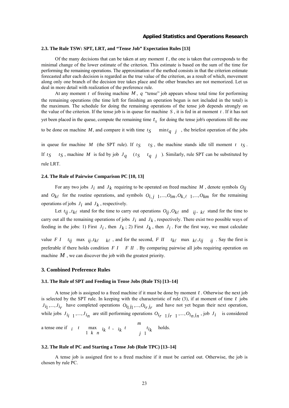#### **2.3. The Rule TSW: SPT, LRT, and "Tense Job" Expectation Rules [13]**

Of the many decisions that can be taken at any moment  $t$ , the one is taken that corresponds to the minimal change of the lower estimate of the criterion. This estimate is based on the sum of the time for performing the remaining operations. The approximation of the method consists in that the criterion estimate forecasted after each decision is regarded as the true value of the criterion, as a result of which, movement along only one branch of the decision tree takes place and the other branches are not memorized. Let us deal in more detail with realization of the preference rule.

At any moment *t* of freeing machine *M* , *q* "tense" job appears whose total time for performing the remaining operations (the time left for finishing an operation begun is not included in the total) is the maximum. The schedule for doing the remaining operations of the tense job depends strongly on the value of the criterion. If the tense job is in queue for machine *S* , it is fed in at moment *t* . If it has not yet been placed in the queue, compute the remaining time  $t_s^*$  for doing the tense job's operations till the one to be done on machine *M*, and compare it with time  $t_S^{**} = \min_{\xi} t_{q\xi} j_{\xi}$ , the briefest operation of the jobs

in queue for machine *M* (the SPT rule). If  $t_S^{**} > t_S^*$ , the machine stands idle till moment  $t + t_S^*$ . If  $t_S^{**} \le t_S^*$ , machine *M* is fed by job  $J_{q\eta}$  ( $t_S^{**} = t_{q\eta} j_{\eta}$ ). Similarly, rule SPT can be substituted by rule LRT.

# **2.4. The Rule of Pairwise Comparison PC [10, 13]**

For any two jobs  $J_i$  and  $J_k$  requiring to be operated on freed machine *M*, denote symbols  $O_{ij}$ and  $O_{k\ell}$  for the routine operations, and symbols  $O_{i, j+1},...,O_{im}, O_{k,\ell+1},...,O_{km}$  for the remaining operations of jobs  $J_i$  and  $J_k$ , respectively.

Let  $t_{ij}$ ,  $t_{k\ell}$  stand for the time to carry out operations  $O_{ij}$ ,  $O_{k\ell}$  and  $\tau_{ij}$ ,  $\tau_{k\ell}$  stand for the time to carry out all the remaining operations of jobs  $J_i$  and  $J_k$ , respectively. There exist two possible ways of feeding in the jobs: 1) First  $J_i$ , then  $J_k$ ; 2) First  $J_k$ , then  $J_i$ . For the first way, we must calculate value  $F(I) = t_{ii} + \max[\tau_{ii}, t_{k\ell} + \tau_{k\ell}]$ , and for the second,  $F(II) = t_{k\ell} + \max[\tau_{k\ell}, t_{ii} + \tau_{ii}]$ . Say the first is preferable if there holds condition  $F(I) < F(I)$ . By comparing pairwise all jobs requiring operation on machine M, we can discover the job with the greatest priority.

## **3. Combined Preference Rules**

#### **3.1. The Rule of SPT and Feeding in Tense Jobs (Rule TS) [13–14]**

A tense job is assigned to a freed machine if it must be done by moment *t* . Otherwise the next job is selected by the SPT rule. In keeping with the characteristic of rule (3), if at moment of time *t* jobs  $J_{i_1},...,J_{i_r}$  have completed operations  $O_{i_1j_1},...,O_{i_rj_r}$  and have not yet begun their next operation, while jobs  $J_{i_1+1},...,J_{i_n}$  are still performing operations  $O_{i_r+1}j_{r+1},...,O_{i_n}j_n$ , job  $J_{i_\xi}$  is considered

a tense one if 
$$
\tau_{i\xi}(t) = \max_{1 \le k \le n} \tau_{i_k}(t), \ \tau_{i_k}(t) = \sum_{\gamma=j+1}^m t_{i_k \gamma}
$$
 holds.

# **3.2. The Rule of PC and Starting a Tense Job (Rule TPC) [13–14]**

A tense job is assigned first to a freed machine if it must be carried out. Otherwise, the job is chosen by rule PC.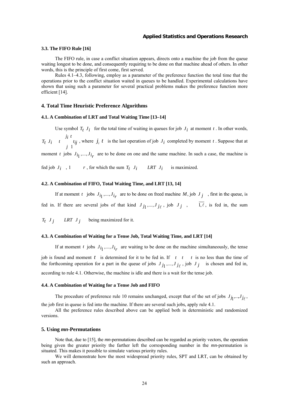#### **3.3. The FIFO Rule [16]**

The FIFO rule, in case a conflict situation appears, directs onto a machine the job from the queue waiting longest to be done, and consequently requiring to be done on that machine ahead of others. In other words, this is the principle of first come, first served.

Rules 4.1–4.3, following, employ as a parameter of the preference function the total time that the operations prior to the conflict situation waited in queues to be handled. Experimental calculations have shown that using such a parameter for several practical problems makes the preference function more efficient [14].

#### **4. Total Time Heuristic Preference Algorithms**

#### **4.1. A Combination of LRT and Total Waiting Time [13–14]**

Use symbol  $T_t(J_i)$  for the total time of waiting in queues for job  $J_i$  at moment  $t$ . In other words,  $(J_i)=t-\frac{j_i(t)}{\sum_i}$  $= t - \sum_{i=1}^{j} \frac{f_i}{f_i}$ 

= *j*  $T_t(J_i) = t - \sum t_{ij}$ 1 , where  $j_i(t)$  is the last operation of job  $J_i$  completed by moment  $t$ . Suppose that at

moment *t* jobs  $J_{i_1},...,J_{i_r}$  are to be done on one and the same machine. In such a case, the machine is

fed job  $J_{i\xi}$ ,  $1 \le \xi \le r$ , for which the sum  $T_t$ ,  $J_{i\xi}$  + LRT,  $J_{i\xi}$  is maximized.

## **4.2. A Combination of FIFO, Total Waiting Time, and LRT [13, 14]**

If at moment *t* jobs  $J_{i_1},...,J_{i_r}$  are to be done on freed machine *M*, job  $J_{j\zeta}$ , first in the queue, is fed in. If there are several jobs of that kind  $J_{j_1},..., J_{j_\ell}$ , job  $J_{j_\ell}$ ,  $\xi = \overline{1,\ell}$ , is fed in, the sum

 $T_t$  *J*<sub> $j\xi$ </sub> + *LRT J*<sub> $j\xi$ </sub> being maximized for it.

## **4.3. A Combination of Waiting for a Tense Job, Total Waiting Time, and LRT [14]**

If at moment *t* jobs  $J_{i_1},...,J_{i_r}$  are waiting to be done on the machine simultaneously, the tense job is found and moment  $t^*$  is determined for it to be fed in. If  $\Delta t = t^* - t$  is no less than the time of the forthcoming operation for a part in the queue of jobs  $J_{j_1},...,J_{j_\ell}$ , job  $J_{j_\ell}$  is chosen and fed in, according to rule 4.1. Otherwise, the machine is idle and there is a wait for the tense job.

#### **4.4. A Combination of Waiting for a Tense Job and FIFO**

The procedure of preference rule 10 remains unchanged, except that of the set of jobs  $J_{j_1}$   $, J_{j_\ell}$ ,

the job first in queue is fed into the machine. If there are several such jobs, apply rule 4.1.

All the preference rules described above can be applied both in deterministic and randomized versions.

#### **5. Using** *mn***-Permutations**

Note that, due to [15], the *mn*-permutations described can be regarded as priority vectors, the operation being given the greater priority the farther left the corresponding number in the *mn*-permutation is situated. This makes it possible to simulate various priority rules.

We will demonstrate how the most widespread priority rules, SPT and LRT, can be obtained by such an approach.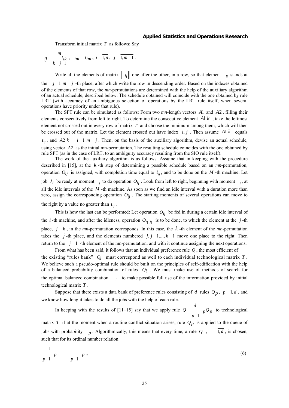Transform initial matrix *T* as follows: Say

$$
\tau_{ij} = \sum_{k=j+1}^{m} t_{ik}, \tau_{im} = t_{im}, i = \overline{1, n}, j = \overline{1, m-1}.
$$

Write all the elements of matrix  $\|\tau_{ij}\|$  one after the other, in a row, so that element  $\tau_{ij}$  stands at the  $[(j-1)m+j]$ -th place, after which write the row in descending order. Based on the indexes obtained of the elements of that row, the *mn*-permutations are determined with the help of the auxiliary algorithm of an actual schedule, described below. The schedule obtained will coincide with the one obtained by rule LRT (with accuracy of an ambiguous selection of operations by the LRT rule itself, when several operations have priority under that rule).

The SPT rule can be simulated as follows: Form two *mn*-length vectors *A*1 and *A*2 , filling their elements consecutively from left to right. To determine the consecutive element  $A1(k)$ , take the leftmost element not crossed out in every row of matrix *T* and choose the minimum among them, which will then be crossed out of the matrix. Let the element crossed out have index  $(i, j)$ . Then assume  $A1(k)$  equals  $t_{ii}$ , and  $A2(k) = (i-1)m + j$ . Then, on the basis of the auxiliary algorithm, devise an actual schedule, using vector *A*2 as the initial mn-permutation. The resulting schedule coincides with the one obtained by rule SPT (as in the case of LRT, to an ambiguity accuracy resulting from the SIO rule itself).

The work of the auxiliary algorithm is as follows. Assume that in keeping with the procedure described in [15], at the *k* -th step of determining a possible schedule based on an *mn*-permutation, operation  $O_{ij}$  is assigned, with completion time equal to  $t_{ij}$ , and to be done on the *M* -th machine. Let job  $J_i$  be ready at moment  $\tau_i$  to do operation  $O_{ij}$ . Look from left to right, beginning with moment  $\tau_i$ , at all the idle intervals of the *M* -th machine. As soon as we find an idle interval with a duration more than zero, assign the corresponding operation  $O_{ij}$ . The starting moments of several operations can move to

the right by a value no greater than  $t_{ii}$ .

This is how the last can be performed: Let operation  $O_{ij}$  be fed in during a certain idle interval of the *i* -th machine, and after the idleness, operation  $O_{i_1 j_1}$  is to be done, to which the element at the *j* -th place,  $j < k$ , in the *mn*-permutation corresponds. In this case, the  $k$ -th element of the *mn*-permutation takes the *j* -th place, and the elements numbered *j*,  $j + 1, ..., k - 1$  move one place to the right. Then return to the  $(j+1)$ -th element of the mn-permutation, and with it continue assigning the next operations.

From what has been said, it follows that an individual preference rule *Q* , the most efficient of the existing "rules bank"  ${Q_i}$  must correspond as well to each individual technological matrix *T*. We believe such a pseudo-optimal rule should be built on the principles of self-edification with the help of a balanced probability combination of rules  ${Q_i}$ . We must make use of methods of search for the optimal balanced combination  $\{\delta_i\}$  to make possible full use of the information provided by initial technological matrix *T* .

Suppose that there exists a data bank of preference rules consisting of *d* rules  $Q_p$ ,  $p = \overline{1, d}$ , and we know how long it takes to do all the jobs with the help of each rule.

In keeping with the results of [11–15] say that we apply rule  $Q = \sum$ =  $=\frac{d}{\sum}$ *p*  $Q = \sum \delta_p Q_p$ 1  $\delta_p Q_p$  to technological matrix *T* if at the moment when a routine conflict situation arises, rule  $Q_p$  is applied to the queue of jobs with probability  $\delta_p$ . Algorithmically, this means that every time, a rule  $Q\xi$ ,  $\xi = \overline{1,d}$ , is chosen, such that for its ordinal number relation

$$
\sum_{p=1}^{\xi-1} \delta_p < \eta \le \sum_{p=1}^{\xi} \delta_p \tag{6}
$$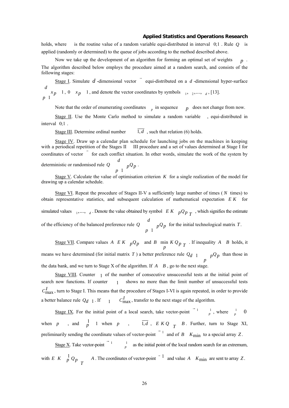holds, where  $\eta$  is the routine value of a random variable equi-distributed in interval [0;1]. Rule  $Q_{\xi}$  is applied (randomly or determined) to the queue of jobs according to the method described above.

Now we take up the development of an algorithm for forming an optimal set of weights  $\{\delta_p\}$ . The algorithm described below employs the procedure aimed at a random search, and consists of the following stages:

Stage I. Simulate  $d$  -dimensional vector  $\vec{\Sigma}$  equi-distributed on a *d* -dimensional hyper-surface ∑ =  $\sum x_n =$ *p px* 1 1,  $0 \le x_p \le 1$ , and denote the vector coordinates by symbols  $\delta_1, \delta_2, ..., \delta_d$ , [13].

Note that the order of enumerating coordinates  $\delta_p$  in sequence  $\{\delta_p\}$  does not change from now.

Stage II. Use the Monte Carlo method to simulate a random variable  $\eta$ , equi-distributed in interval  $[0;1]$ .

Stage III. Determine ordinal number  $\xi \in \{1, d\}$ , such that relation (6) holds.

Stage IV. Draw up a calendar plan schedule for launching jobs on the machines in keeping with a periodical repetition of the Stages  $II \Rightarrow III$  procedure and a set of values determined at Stage I for coordinates of vector  $\Sigma$  for each conflict situation. In other words, simulate the work of the system by deterministic or randomised rule  $Q = \sum$ =  $=\frac{d}{\sum}$ *p*  $Q = \sum \delta_p Q_p$ 1  $\delta_p Q_p$ .

Stage V. Calculate the value of optimisation criterion *K* for a single realization of the model for drawing up a calendar schedule.

Stage VI. Repeat the procedure of Stages II-V a sufficiently large number of times ( *N* times) to obtain representative statistics, and subsequent calculation of mathematical expectation  $E[K]$  for simulated values  $\delta_1, \ldots, \delta_d$ . Denote the value obtained by symbol  $E\left\{K\left[\delta_p Q_p\right]_T\right\}$ , which signifies the estimate of the efficiency of the balanced preference rule  $Q = \sum$ =  $=\frac{d}{\sum}$ *p*  $Q = \sum \delta_p Q_p$ 1  $\delta_{p}Q_{p}$  for the initial technological matrix *T*.

Stage VII. Compare values  $A = E\{K|\delta_p Q_p\}$  and  $B = \min_p \{K|Q_p\}_p$  $B = \min \{K|Q_{n}|_{\text{tr}}\}\$ . If inequality  $A < B$  holds, it means we have determined (for initial matrix *T*) a better preference rule  $Q_{d+1} = \sum \delta_p Q_p$  than those in *p* the data bank, and we turn to Stage X of the algorithm. If  $A \geq B$ , go to the next stage.

Stage VIII. Counter  $\eta_1$  of the number of consecutive unsuccessful tests at the initial point of search now functions. If counter  $\langle \eta_1 \rangle$  shows no more than the limit number of unsuccessful tests  $C_{\text{max}}^I$ , turn to Stage I. This means that the procedure of Stages I-VI is again repeated, in order to provide a better balance rule  $Q_{d+1}$ . If  $\langle \eta_1 \rangle > C_{\text{max}}^I$ , transfer to the next stage of the algorithm.

<u>Stage IX</u>. For the initial point of a local search, take vector-point  $\vec{\Sigma}^{(1)} = \delta_p^{(1)}$ , where  $\delta_p^{(1)} = 0$ when  $p \neq \gamma$ , and  $\delta_p^{(1)} = 1$  when  $p = \gamma$ ,  $\gamma \in \{\overline{1, d}\}, E\{K[Q_\gamma]_T\} = B$ . Further, turn to Stage XI, preliminarily sending the coordinate values of vector-point  $\vec{\Sigma}^{(1)}$  and of  $B = K_{\text{min}}$  to a special array *Z*.

Stage X. Take vector-point  $\vec{\Sigma}^{(1)} = {\delta_p^{(1)}}$  as the initial point of the local random search for an extremum, with  $E K \delta_D^{(1)} Q_D = A$ *E K*  $\delta_p^{(1)}Q_p$  = *A*. The coordinates of vector-point  $\vec{\Sigma}^{(1)}$  and value *A* = *K*min are sent to array *Z*.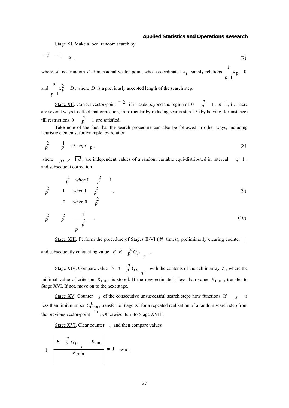Stage XI. Make a local random search by

$$
\vec{\Sigma}^{(2)} = \vec{\Sigma}^{(1)} + \vec{X},\tag{7}
$$

where *X*  $\overline{\phantom{a}}$ is a random *d*-dimensional vector-point, whose coordinates  $x_p$  satisfy relations  $\sum x_p = 0$ 1  $\sum x_p =$ = *d p px*

and  $\sum x_n^2 = D$ *d p*  $\sum x_p^2 =$  $=1$  $\frac{2}{p}$  = *D*, where *D* is a previously accepted length of the search step.

Stage XII. Correct vector-point  $\vec{\Sigma}^{(2)}$  if it leads beyond the region of  $0 \le \delta_p^{(2)} \le 1$ ,  $p = \overline{1, d}$ . There are several ways to effect that correction, in particular by reducing search step *D* (by halving, for instance) till restrictions  $0 \le \delta_p^{\binom{2}{2}} \le 1$  are satisfied.

Take note of the fact that the search procedure can also be followed in other ways, including heuristic elements, for example, by relation

$$
\delta_p^{\left(2\right)*} = \delta_p^{\left(1\right)} + D \cdot sign \alpha_p \,,\tag{8}
$$

where  $\alpha_p$ ,  $p = \overline{1, d}$ , are independent values of a random variable equi-distributed in interval  $[-1, +1]$ , and subsequent correction

$$
\delta_p^{\{2\}^*} \text{ when } 0 \le \delta_p^{\{2\}^*} \le 1
$$
\n
$$
\delta_p^{\{2\}^{**}} = 1 \quad \text{when } 1 < \delta_p^{\{2\}^*} \quad ,
$$
\n
$$
0 \quad \text{when } 0 > \delta_p^{\{2\}^*} \quad .
$$
\n
$$
(9)
$$

$$
\delta_p^{(2)*} = \delta_p^{(2)**} \cdot \frac{1}{\sum_{p} \delta_p^{(2)**}}.
$$
\n(10)

Stage XIII. Perform the procedure of Stages II-VI ( $N$  times), preliminarily clearing counter  $\eta_1$ and subsequently calculating value  $E K \delta_{n}^{(2)}$ *E K*  $\delta_p^{(2)}Q_p$  *T* .

Stage XIV. Compare value  $E K \delta_{n}^{(2)}$ *E K*  $\delta_p^{(2)}Q_p$  *T* with the contents of the cell in array *Z*, where the minimal value of criterion  $K_{\text{min}}$  is stored. If the new estimate is less than value  $K_{\text{min}}$ , transfer to Stage XVI. If not, move on to the next stage.

Stage XV. Counter  $\eta_2$  of the consecutive unsuccessful search steps now functions. If  $\langle \eta_2 \rangle$  is less than limit number  $C_{\text{max}}^H$ , transfer to Stage XI for a repeated realization of a random search step from the previous vector-point  $\vec{\Sigma}^{(1)}$ . Otherwise, turn to Stage XVIII.

Stage XVI. Clear counter  $\eta_2$  and then compare values

$$
\Delta_1 = \frac{\begin{vmatrix} K & \delta_p^{(2)}Q_p & -K_{\min} \\ K_{\min} & \end{vmatrix}}{K_{\min}} \text{ and } \Delta_{\min},
$$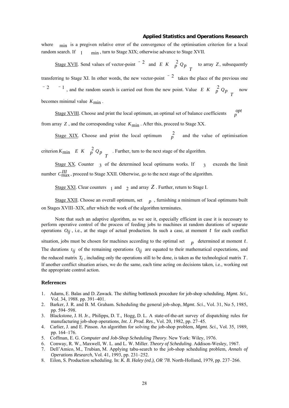where  $\Delta_{\text{min}}$  is a pregiven relative error of the convergence of the optimisation criterion for a local random search. If  $\Delta_1 \leq \Delta_{\text{min}}$ , turn to Stage XIX; otherwise advance to Stage XVII.

Stage XVII. Send values of vector-point  $\vec{\Sigma}^{(2)}$  and  $E K \delta_p^{(2)}$ *E K*  $\delta_p^{(2)}Q_p$  to array *Z*, subsequently transferring to Stage XI. In other words, the new vector-point  $\vec{\Sigma}^{(2)}$  takes the place of the previous one  $(\vec{\Sigma}^{(2)} \Rightarrow \vec{\Sigma}^{(1)})$ , and the random search is carried out from the new point. Value  $E K \delta_D^{(2)}$ *E K*  $\delta_p^{(2)}Q_p$  now becomes minimal value  $K_{\text{min}}$ .

Stage XVIII. Choose and print the local optimum, an optimal set of balance coefficients  $\delta_p^{(opt)}$ from array *Z* , and the corresponding value *K*min . After this, proceed to Stage XX.

<u>Stage XIX</u>. Choose and print the local optimum  $\delta_p^{(2)}$  and the value of optimisation criterion  $K_{\text{min}} = E K \delta_D^{(2)}$  $K_{\text{min}} = E \ K \ \delta_p^{(2)} Q_p \frac{1}{T}$ . Further, turn to the next stage of the algorithm.

Stage XX. Counter  $\eta_3$  of the determined local optimums works. If  $\langle \eta_3 \rangle$  exceeds the limit number  $C_{\text{max}}^{III}$ , proceed to Stage XXII. Otherwise, go to the next stage of the algorithm.

Stage XXI. Clear counters  $\eta_1$  and  $\eta_2$  and array Z. Further, return to Stage I.

Stage XXII. Choose an overall optimum, set  $\{s_p^*\}$ , furnishing a minimum of local optimums built on Stages XVIII–XIX, after which the work of the algorithm terminates.

Note that such an adaptive algorithm, as we see it, especially efficient in case it is necessary to perform operative control of the process of feeding jobs to machines at random durations of separate operations  $O_{ij}$ , i.e., at the stage of actual production. In such a case, at moment *t* for each conflict situation, jobs must be chosen for machines according to the optimal set  $\{\delta_p^*\}$  determined at moment *t*. The durations  $t_{ij}$  of the remaining operations  $O_{ij}$  are equated to their mathematical expectations, and the reduced matrix  $T_t$ , including only the operations still to be done, is taken as the technological matrix  $T$ . If another conflict situation arises, we do the same, each time acting on decisions taken, i.e., working out the appropriate control action.

# **References**

- 1. Adams, E. Balas and D. Zawack. The shifting bottleneck procedure for job-shop scheduling, *Mgmt. Sci*., Vol. 34, 1988. pp. 391–401.
- 2. Barker, J. R. and B. M. Graham. Scheduling the general job-shop, *Mgmt. Sci*., Vol. 31, No 5, 1985, pp. 594–598.
- 3. Blackstone, J. H. Jr., Philipps, D. T., Hogg, D. L. A state-of-the-art survey of dispatching rules for manufacturing job-shop operations, *Int. J. Prod. Res*., Vol. 20, 1982, pp. 27–45.
- 4. Carlier, J. and E. Pinson. An algorithm for solving the job-shop problem, *Mgmt. Sci.*, Vol. 35, 1989, pp. 164–176.
- 5. Coffman, E. G. *Computer and Job-Shop Scheduling Theory*. New York: Wiley, 1976.
- 6. Conway, R. W., Maxwell, W. L. and L. W. Miller. *Theory of Scheduling*. Addison-Wesley, 1967.
- 7. Dell'Amico, M., Trubian, M. Applying tabu-search to the job-shop scheduling problem, *Annals of Operations Research*, Vol. 41, 1993, pp. 231–252.
- 8. Eilon, S. Production scheduling. In: *K. B. Haley (ed.), OR '78*. North-Holland, 1979, pp. 237–266.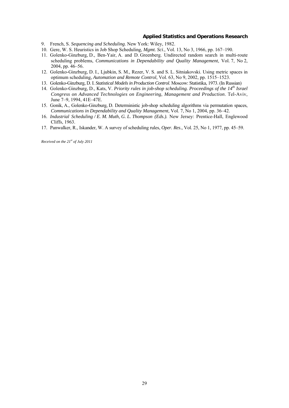- 9. French, S. *Sequencing and Scheduling*. New York: Wiley, 1982.
- 10. Gere, W. S. Heuristics in Job Shop Scheduling, *Mgmt. Sci*., Vol. 13, No 3, 1966, pp. 167–190.
- 11. Golenko-Ginzburg, D., Ben-Yair, A. and D. Greenberg. Undirected random search in multi-route scheduling problems, *Communications in Dependability and Quality Management*, Vol. 7, No 2, 2004, pp. 46–56.
- 12. Golenko-Ginzburg, D. I., Ljubkin, S. M., Rezer, V. S. and S. L. Sitniakovski. Using metric spaces in optimum scheduling, *Automation and Remote Control*, Vol. 63, No 9, 2002, pp. 1515–1523.
- 13. Golenko-Ginzburg, D. I. *Statistical Models in Production Control*. Moscow: Statistika, 1973. (In Russian)
- 14. Golenko-Ginzburg, D., Kats, V. *Priority rules in job-shop scheduling. Proceedings of the 14th Israel Congress on Advanced Technologies on Engineering, Management and Production*. Tel-Aviv, June 7–9, 1994, 41E–47E.
- 15. Gonik, A., Golenko-Ginzburg, D. Deterministic job-shop scheduling algorithms via permutation spaces, *Communications in Dependability and Quality Management*, Vol. 7, No 1, 2004, pp. 36–42.
- 16. *Industrial Scheduling / E. M. Muth, G. L. Thompson (Eds.).* New Jersey: Prentice-Hall, Englewood Cliffs, 1963.
- 17. Panwalker, R., Iskander, W. A survey of scheduling rules, *Oper. Res*., Vol. 25, No 1, 1977, pp. 45–59.

*Received on the 21st of July 2011*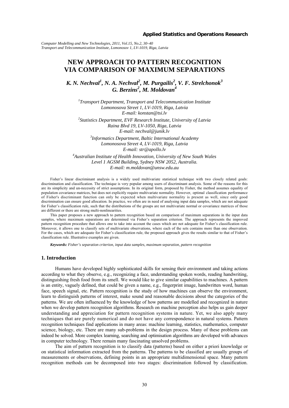*Computer Modelling and New Technologies, 2011, Vol.15, No.2, 30–40 Transport and Telecommunication Institute, Lomonosov 1, LV-1019, Riga, Latvia* 

# **NEW APPROACH TO PATTERN RECOGNITION VIA COMPARISON OF MAXIMUM SEPARATIONS**

*K. N. Nechval<sup>1</sup>, N. A. Nechval<sup>2</sup>, M. Purgailis<sup>2</sup>, V. F. Strelchonok<sup>3</sup> G. Berzins<sup>2</sup> , M. Moldovan4*

*1 Transport Department, Transport and Telecommunication Institute Lomonosova Street 1, LV-1019, Riga, Latvia*

*E-mail: konstan@tsi.lv 2 Statistics Department, EVF Research Institute, University of Latvia Raina Blvd 19, LV-1050, Riga, Latvia E-mail: nechval@junik.lv* 

*3 Informatics Department, Baltic International Academy Lomonosova Street 4, LV-1019, Riga, Latvia E-mail: str@apollo.lv* 

*4 Australian Institute of Health Innovation, University of New South Wales Level 1 AGSM Building, Sydney NSW 2052, Australia. E-mail: m.moldovan@unsw.edu.au* 

Fisher's linear discriminant analysis is a widely used multivariate statistical technique with two closely related goals: discrimination and classification. The technique is very popular among users of discriminant analysis. Some of the reasons for this are its simplicity and un-necessity of strict assumptions. In its original form, proposed by Fisher, the method assumes equality of population covariance matrices, but does not explicitly require multivariate normality. However, optimal classification performance of Fisher's discriminant function can only be expected when multivariate normality is present as well, since only good discrimination can ensure good allocation. In practice, we often are in need of analysing input data samples, which are not adequate for Fisher's classification rule, such that the distributions of the groups are not multivariate normal or covariance matrices of those are different or there are strong multi-nonlinearities.

This paper proposes a new approach to pattern recognition based on comparison of maximum separations in the input data samples, where maximum separations are determined via Fisher's separation criterion. The approach represents the improved pattern recognition procedure that allows one to take into account the cases which are not adequate for Fisher's classification rule. Moreover, it allows one to classify sets of multivariate observations, where each of the sets contains more than one observation. For the cases, which are adequate for Fisher's classification rule, the proposed approach gives the results similar to that of Fisher's classification rule. Illustrative examples are given.

*Keywords: Fisher's separation criterion, input data samples, maximum separation, pattern recognition* 

#### **1. Introduction**

Humans have developed highly sophisticated skills for sensing their environment and taking actions according to what they observe, e.g., recognizing a face, understanding spoken words, reading handwriting, distinguishing fresh food from its smell. We would like to give similar capabilities to machines. A pattern is an entity, vaguely defined, that could be given a name, e.g., fingerprint image, handwritten word, human face, speech signal, etc. Pattern recognition is the study of how machines can observe the environment, learn to distinguish patterns of interest, make sound and reasonable decisions about the categories of the patterns. We are often influenced by the knowledge of how patterns are modelled and recognized in nature when we develop pattern recognition algorithms. Research on machine perception also helps us gain deeper understanding and appreciation for pattern recognition systems in nature. Yet, we also apply many techniques that are purely numerical and do not have any correspondence in natural systems. Pattern recognition techniques find applications in many areas: machine learning, statistics, mathematics, computer science, biology, etc. There are many sub-problems in the design process. Many of these problems can indeed be solved. More complex learning, searching and optimisation algorithms are developed with advances in computer technology. There remain many fascinating unsolved problems.

The aim of pattern recognition is to classify data (patterns) based on either a priori knowledge or on statistical information extracted from the patterns. The patterns to be classified are usually groups of measurements or observations, defining points in an appropriate multidimensional space. Many pattern recognition methods can be decomposed into two stages: discrimination followed by classification.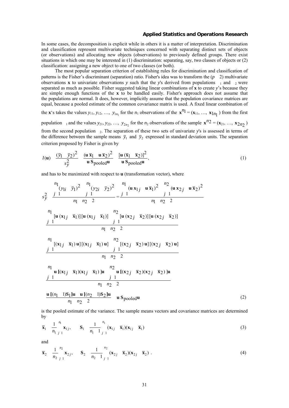In some cases, the decomposition is explicit while in others it is a matter of interpretation. Discrimination and classification represent multivariate techniques concerned with separating distinct sets of objects (or observations) and allocating new objects (observations) to previously defined groups. There exist situations in which one may be interested in (1) discrimination: separating, say, two classes of objects or (2) classification: assigning a new object to one of two classes (or both).

The most popular separation criterion of establishing rules for discrimination and classification of patterns is the Fisher's discriminant (separation) ratio. Fisher's idea was to transform the  $(p \ge 2)$  multivariate observations **x** to univariate observations *y* such that the *y*'s derived from populations  $\pi_1$  and  $\pi_2$  were separated as much as possible. Fisher suggested taking linear combinations of **x** to create *y*'s because they are simple enough functions of the **x** to be handled easily. Fisher's approach does not assume that the populations are normal. It does, however, implicitly assume that the population covariance matrices are equal, because a pooled estimate of the common covariance matrix is used. A fixed linear combination of

the **x**'s takes the values  $y_{11}$ ,  $y_{12}$ , …,  $y_{1n_1}$  for the  $n_1$  observations of the  $\mathbf{x}^{n_1} = (\mathbf{x}_{11}, \dots, \mathbf{x}_{1n_1})$  from the first

population  $\pi_1$  and the values  $y_{21}$ ,  $y_{22}$ , …,  $y_{2n_2}$  for the  $n_2$  observations of the sample  $\mathbf{x}^{n_2} = (\mathbf{x}_{21}, \dots, \mathbf{x}_{2n_2})$ from the second population  $\pi$ <sub>2</sub>. The separation of these two sets of univariate *y*'s is assessed in terms of the difference between the sample means  $\bar{y}_1$  and  $\bar{y}_2$  expressed in standard deviation units. The separation criterion proposed by Fisher is given by

$$
I(\mathbf{u}) = \frac{(\bar{y}_1 - \bar{y}_2)^2}{s_y^2} = \frac{(\mathbf{u}'\bar{\mathbf{x}}_1 - \mathbf{u}'\bar{\mathbf{x}}_2)^2}{\mathbf{u}'\mathbf{S}_{\text{pooled}}\mathbf{u}} = \frac{[\mathbf{u}'(\bar{\mathbf{x}}_1 - \bar{\mathbf{x}}_2)]^2}{\mathbf{u}'\mathbf{S}_{\text{pooled}}\mathbf{u}},
$$
(1)

and has to be maximized with respect to **u** (transformation vector), where

$$
s_y^2 = \frac{\sum_{j=1}^{n_1} (y_{1i} - \bar{y}_1)^2 + \sum_{j=1}^{n_1} (y_{2i} - \bar{y}_2)^2}{n_1 + n_2 - 2} = \frac{\sum_{j=1}^{n_1} (u'x_{1j} - u'\bar{x}_1)^2 + \sum_{j=1}^{n_2} (u'x_{2j} - u'\bar{x}_2)^2}{n_1 + n_2 - 2}
$$
  
\n
$$
= \frac{\sum_{j=1}^{n_1} [u'(x_{1j} - \bar{x}_1)]'[u'(x_{1j} - \bar{x}_1)] + \sum_{j=1}^{n_2} [u'(x_{2j} - \bar{x}_2)]'[u'(x_{2j} - \bar{x}_2)]}{n_1 + n_2 - 2}
$$
  
\n
$$
= \frac{\sum_{j=1}^{n_1} [(x_{1j} - \bar{x}_1)'u]''[(x_{1j} - \bar{x}_1)'u] + \sum_{j=1}^{n_2} [(x_{2j} - \bar{x}_2)'u]''[(x_{2j} - \bar{x}_2)'u]}{n_1 + n_2 - 2}
$$
  
\n
$$
= \frac{\sum_{j=1}^{n_1} u'(x_{1j} - \bar{x}_1)(x_{1j} - \bar{x}_1)'u + \sum_{j=1}^{n_2} u'(x_{2j} - \bar{x}_2)(x_{2j} - \bar{x}_2)'u}{n_1 + n_2 - 2}
$$
  
\n
$$
= \frac{u'(n_1 - 1)S_1]u + u'(n_2 - 1)S_2]u}{n_1 + n_2 - 2} = u'S
$$

is the pooled estimate of the variance. The sample means vectors and covariance matrices are determined by

$$
\overline{\mathbf{x}}_1 = \frac{1}{n_1} \sum_{j=1}^{n_1} \mathbf{x}_{1j}, \qquad \mathbf{S}_1 = \frac{1}{n_1 - 1} \sum_{j=1}^{n_1} (\mathbf{x}_{1j} - \overline{\mathbf{x}}_1)(\mathbf{x}_{1j} - \overline{\mathbf{x}}_1)'
$$
(3)

and

$$
\overline{\mathbf{x}}_2 = \frac{1}{n_2} \sum_{j=1}^{n_2} \mathbf{x}_{2j}, \qquad \mathbf{S}_2 = \frac{1}{n_2 - 1} \sum_{j=1}^{n_2} (\mathbf{x}_{2j} - \overline{\mathbf{x}}_2)(\mathbf{x}_{2j} - \overline{\mathbf{x}}_2)' \,.
$$
 (4)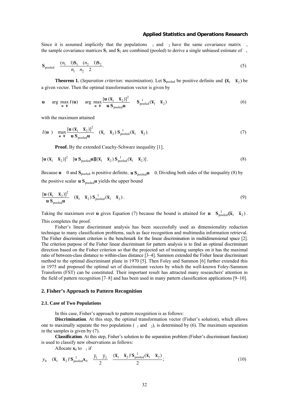Since it is assumed implicitly that the populations  $\pi_1$  and  $\pi_2$  have the same covariance matrix  $\Sigma$ , the sample covariance matrices  $S_1$  and  $S_2$  are combined (pooled) to derive a single unbiased estimate of  $\Sigma$ ,

$$
\mathbf{S}_{pooled} = \frac{(n_1 - 1)\mathbf{S}_1 + (n_2 - 1)\mathbf{S}_2}{n_1 + n_2 - 2}.\tag{5}
$$

**Theorem 1.** (*Separation criterion: maximization*). Let **S**<sub>pooled</sub> be positive definite and  $(\bar{\mathbf{x}}_1 - \bar{\mathbf{x}}_2)$  be a given vector. Then the optimal transformation vector is given by

$$
\mathbf{u}^* = \arg \max_{\mathbf{u} \neq \mathbf{0}} I(\mathbf{u}) = \arg \max_{\mathbf{u} \neq \mathbf{0}} \frac{[\mathbf{u}'(\overline{\mathbf{x}}_1 - \overline{\mathbf{x}}_2)]^2}{\mathbf{u}'\mathbf{S}_{\text{pooled}}\mathbf{u}} = \mathbf{S}_{\text{pooled}}^{-1}(\overline{\mathbf{x}}_1 - \overline{\mathbf{x}}_2)
$$
(6)

with the maximum attained

$$
I(\mathbf{u}^*) = \max_{\mathbf{u} \neq \mathbf{0}} \frac{[\mathbf{u}'(\overline{\mathbf{x}}_1 - \overline{\mathbf{x}}_2)]^2}{\mathbf{u}'\mathbf{S}_{\text{pooled}}\mathbf{u}} = (\overline{\mathbf{x}}_1 - \overline{\mathbf{x}}_2)'\mathbf{S}_{\text{pooled}}^{-1}(\overline{\mathbf{x}}_1 - \overline{\mathbf{x}}_2). \tag{7}
$$

**Proof.** By the extended Cauchy-Schwarz inequality [1],

$$
\left[\mathbf{u}'(\overline{\mathbf{x}}_1 - \overline{\mathbf{x}}_2)\right]^2 \leq \left[\mathbf{u}'\mathbf{S}_{\text{pooled}}\mathbf{u}\right] \left[\left(\overline{\mathbf{x}}_1 - \overline{\mathbf{x}}_2\right)'\mathbf{S}_{\text{pooled}}^{-1}\left(\overline{\mathbf{x}}_1 - \overline{\mathbf{x}}_2\right)\right].\tag{8}
$$

Because  $u \neq 0$  and  $S_{pooled}$  is positive definite,  $u'S_{pooled}u > 0$ . Dividing both sides of the inequality (8) by the positive scalar  $\mathbf{u}'\mathbf{S}_{\text{pooled}}\mathbf{u}$  yields the upper bound

$$
\frac{\left[\mathbf{u}'(\overline{\mathbf{x}}_1 - \overline{\mathbf{x}}_2)\right]^2}{\mathbf{u}'\mathbf{S}_{\text{pooled}}\mathbf{u}} \leq (\overline{\mathbf{x}}_1 - \overline{\mathbf{x}}_2)'\mathbf{S}_{\text{pooled}}^{-1}(\overline{\mathbf{x}}_1 - \overline{\mathbf{x}}_2).
$$
\n(9)

Taking the maximum over **u** gives Equation (7) because the bound is attained for  $\mathbf{u} = \mathbf{S}_{\text{pooled}}^{-1}(\overline{\mathbf{x}}_1 - \overline{\mathbf{x}}_2)$ . This completes the proof.

Fisher's linear discriminant analysis has been successfully used as dimensionality reduction technique to many classification problems, such as face recognition and multimedia information retrieval. The Fisher discriminant criterion is the benchmark for the linear discrimination in multidimensional space [2]. The criterion purpose of the Fisher linear discriminant for pattern analysis is to find an optimal discriminant direction based on the Fisher criterion so that the projected set of training samples on it has the maximal ratio of between-class distance to within-class distance [3–4]. Sammon extended the Fisher linear discriminant method to the optimal discriminant plane in 1970 [5]. Then Foley and Sammon [6] further extended this in 1975 and proposed the optimal set of discriminant vectors by which the well-known Foley-Sammon Transform (FST) can be constituted. Their important result has attracted many researchers' attention in the field of pattern recognition [7–8] and has been used in many pattern classification applications [9–10].

#### **2. Fisher's Approach to Pattern Recognition**

#### **2.1. Case of Two Populations**

In this case, Fisher's approach to pattern recognition is as follows:

**Discrimination**. At this step, the optimal transformation vector (Fisher's solution), which allows one to maximally separate the two populations ( $\pi_1$  and  $\pi_2$ ), is determined by (6). The maximum separation in the samples is given by (7).

**Classification**. At this step, Fisher's solution to the separation problem (Fisher's discriminant function) is used to classify new observations as follows:

Allocate  $\mathbf{x}_0$  to  $\pi_1$  if

$$
y_0 = (\overline{\mathbf{x}}_1 - \overline{\mathbf{x}}_2)^{\prime} \mathbf{S}_{pooled}^{-1} \mathbf{x}_0 \ge \frac{\overline{y}_1 + \overline{y}_2}{2} = \frac{(\overline{\mathbf{x}}_1 - \overline{\mathbf{x}}_2)^{\prime} \mathbf{S}_{pooled}^{-1} (\overline{\mathbf{x}}_1 + \overline{\mathbf{x}}_2)}{2};
$$
\n(10)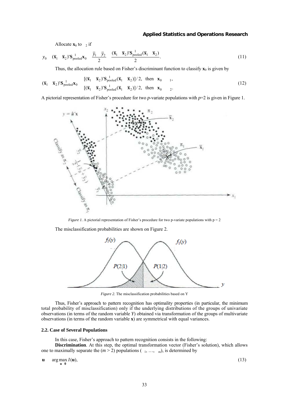Allocate  $\mathbf{x}_0$  to  $\pi_2$  if

$$
y_0 = (\overline{\mathbf{x}}_1 - \overline{\mathbf{x}}_2)' \mathbf{S}_{\text{pooled}}^{-1} \mathbf{x}_0 < \frac{\overline{y}_1 + \overline{y}_2}{2} = \frac{(\overline{\mathbf{x}}_1 - \overline{\mathbf{x}}_2)' \mathbf{S}_{\text{pooled}}^{-1} (\overline{\mathbf{x}}_1 + \overline{\mathbf{x}}_2)}{2}.
$$
\n(11)

Thus, the allocation rule based on Fisher's discriminant function to classify  $\mathbf{x}_0$  is given by

$$
(\overline{\mathbf{x}}_1 - \overline{\mathbf{x}}_2)^{\prime} \mathbf{S}_{pooled}^{-1} \mathbf{x}_0 \geq [(\overline{\mathbf{x}}_1 - \overline{\mathbf{x}}_2)^{\prime} \mathbf{S}_{pooled}^{-1} (\overline{\mathbf{x}}_1 + \overline{\mathbf{x}}_2)]/2, \text{ then } \mathbf{x}_0 \in \pi_1,
$$
  

$$
< [(\overline{\mathbf{x}}_1 - \overline{\mathbf{x}}_2)^{\prime} \mathbf{S}_{pooled}^{-1} (\overline{\mathbf{x}}_1 + \overline{\mathbf{x}}_2)]/2, \text{ then } \mathbf{x}_0 \in \pi_2.
$$
 (12)

A pictorial representation of Fisher's procedure for two *p*-variate populations with *p*=2 is given in Figure 1.



*Figure 1.* A pictorial representation of Fisher's procedure for two p-variate populations with  $p = 2$ 

The misclassification probabilities are shown on Figure 2.



*Figure 2.* The misclassification probabilities based on Y

Thus, Fisher's approach to pattern recognition has optimality properties (in particular, the minimum total probability of misclassification) only if the underlying distributions of the groups of univariate observations (in terms of the random variable *Y*) obtained via transformation of the groups of multivariate observations (in terms of the random variable **x**) are symmetrical with equal variances.

#### **2.2. Case of Several Populations**

In this case, Fisher's approach to pattern recognition consists in the following:

**Discrimination**. At this step, the optimal transformation vector (Fisher's solution), which allows one to maximally separate the  $(m > 2)$  populations  $(\pi_1, ..., \pi_m)$ , is determined by

$$
\mathbf{u}^* = \arg \max_{\mathbf{u} \neq \mathbf{0}} I(\mathbf{u}),\tag{13}
$$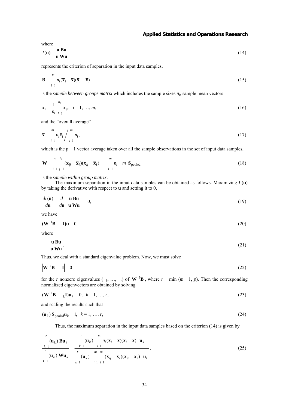where

$$
I(\mathbf{u}) = \frac{\mathbf{u}' \mathbf{B} \mathbf{u}}{\mathbf{u}' \mathbf{W} \mathbf{u}} \tag{14}
$$

represents the criterion of separation in the input data samples,

$$
\mathbf{B} = \sum_{i=1}^{m} n_i (\overline{\mathbf{x}}_i - \overline{\mathbf{x}}) (\overline{\mathbf{x}}_i - \overline{\mathbf{x}})'
$$
 (15)

is the *sample between groups matrix* which includes the sample sizes  $n_i$ , sample mean vectors

$$
\overline{\mathbf{x}}_i = \frac{1}{n_i} \sum_{j=1}^{n_i} \mathbf{x}_{ij}, \quad i = 1, ..., m,
$$
\n(16)

and the "overall average"

$$
\overline{\mathbf{x}} = \sum_{i=1}^{m} n_i \overline{x}_i / \sum_{i=1}^{m} n_i,
$$
\n(17)

which is the  $p \times 1$  vector average taken over all the sample observations in the set of input data samples,

$$
\mathbf{W} = \sum_{i=1}^{m} \sum_{j=1}^{n_i} (\mathbf{x}_{ij} - \overline{\mathbf{x}}_i)(\mathbf{x}_{ij} - \overline{\mathbf{x}}_i)' = \sum_{i=1}^{m} n_i - m \mathbf{S}_{pooled}
$$
(18)

is the *sample within group matrix*.

The maximum separation in the input data samples can be obtained as follows. Maximizing *I* (**u**) by taking the derivative with respect to **u** and setting it to 0,

$$
\frac{dI(\mathbf{u})}{d\mathbf{u}} = \frac{d}{d\mathbf{u}} \frac{\mathbf{u}'\mathbf{B}\mathbf{u}}{\mathbf{u}'\mathbf{W}\mathbf{u}} = 0,
$$
\n(19)

we have

$$
(\mathbf{W}^{-1}\mathbf{B} - \lambda \mathbf{I})\mathbf{u} = 0,\tag{20}
$$

where

$$
\lambda = \frac{\mathbf{u}' \mathbf{B} \mathbf{u}}{\mathbf{u}' \mathbf{W} \mathbf{u}}.\tag{21}
$$

Thus, we deal with a standard eigenvalue problem. Now, we must solve

$$
\left| \mathbf{W}^{-1} \mathbf{B} - \lambda \mathbf{I} \right| = 0 \tag{22}
$$

for the *r* nonzero eigenvalues ( $\lambda_1, \ldots, \lambda_r$ ) of  $W^{-1}B$ , where  $r \leq \min(m-1, p)$ . Then the corresponding normalized eigenvectors are obtained by solving

$$
(\mathbf{W}^{-1}\mathbf{B} - \lambda_k \mathbf{I})\mathbf{u}_k^* = 0, \ \ k = 1, \dots, r,
$$
\n(23)

and scaling the results such that

$$
(\mathbf{u}_k^*)'\mathbf{S}_{\text{pooled}}\mathbf{u}_k^* = 1, \ k = 1, \dots, r,
$$
\n(24)

Thus, the maximum separation in the input data samples based on the criterion (14) is given by

$$
\sum_{k=1}^{r} (\mathbf{u}_{k}^{*})' \mathbf{B} \mathbf{u}_{k}^{*} = \frac{\sum_{k=1}^{r} (\mathbf{u}_{k}^{*})' \sum_{i=1}^{m} n_{i} (\overline{\mathbf{x}}_{i} - \overline{\mathbf{x}}) (\overline{\mathbf{x}}_{i} - \overline{\mathbf{x}})' \mathbf{u}_{k}^{*}}{\sum_{k=1}^{r} (\mathbf{u}_{k}^{*})' \mathbf{W} \mathbf{u}_{k}^{*}} = \frac{\sum_{k=1}^{r} (\mathbf{u}_{k}^{*})' \sum_{i=1}^{m} n_{i} (\overline{\mathbf{x}}_{i} - \overline{\mathbf{x}}_{i}) (\overline{\mathbf{x}}_{ij} - \overline{\mathbf{x}}_{i})' \mathbf{u}_{k}^{*}}{\sum_{k=1}^{r} (\mathbf{u}_{k}^{*})' \mathbf{W} \mathbf{u}_{k}^{*}}.
$$
\n(25)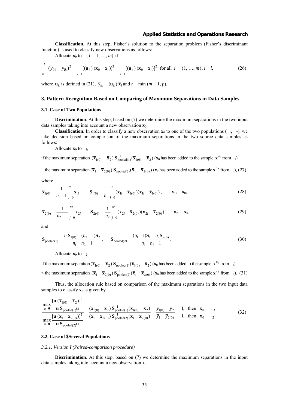**Classification**. At this step, Fisher's solution to the separation problem (Fisher's discriminant function) is used to classify new observations as follows:

Allocate  $\mathbf{x}_0$  to  $\pi_l$ ,  $l \in \{1, ..., m\}$  if

$$
\sum_{k=1}^{r} (y_{0k} - \overline{y}_{lk})^2 = \sum_{k=1}^{r} [(\mathbf{u}_k^*)'(\mathbf{x}_0 - \overline{\mathbf{x}}_l)]^2 \le \sum_{k=1}^{r} [(\mathbf{u}_k^*)'(\mathbf{x}_0 - \overline{\mathbf{x}}_l)]^2 \text{ for all } i \in \{1, ..., m\}, i \neq l,
$$
\n(26)

where  $\mathbf{u}_k^*$  is defined in (21),  $\bar{y}_k = (\mathbf{u}_k^*)'\bar{\mathbf{x}}_l$  and  $r \le \min(m-1, p)$ .

#### **3. Pattern Recognition Based on Comparing of Maximum Separations in Data Samples**

#### **3.1. Case of Two Populations**

**Discrimination**. At this step, based on (7) we determine the maximum separations in the two input data samples taking into account a new observation **x**0.

**Classification**. In order to classify a new observation **x**<sub>0</sub> to one of the two populations ( $\pi_1$ ,  $\pi_2$ ), we take decision based on comparison of the maximum separations in the two source data samples as follows:

Allocate  $\mathbf{x}_0$  to  $\pi_1$ ,

if the maximum separation  $(\bar{\mathbf{x}}_{1(0)} - \bar{\mathbf{x}}_2)' \mathbf{S}_{\text{pooled}(1)}^{-1} (\bar{\mathbf{x}}_{1(0)} - \bar{\mathbf{x}}_2)$  ( $\mathbf{x}_0$  has been added to the sample  $\mathbf{x}^{n_1}$  from  $\pi_1$ )

 $\geq$  the maximum separation  $(\bar{\mathbf{x}}_1 - \bar{\mathbf{x}}_{2(0)})'$ S<sub>pooled(2)</sub>  $(\bar{\mathbf{x}}_1 - \bar{\mathbf{x}}_{2(0)})$  ( $\mathbf{x}_0$  has been added to the sample  $\mathbf{x}^{n_2}$  from  $\pi_2$ ), (27)

where

$$
\overline{\mathbf{x}}_{1(0)} = \frac{1}{n_1 + 1} \sum_{j=0}^{n_1} \mathbf{x}_{1i}, \qquad \mathbf{S}_{1(0)} = \frac{1}{n_1} \sum_{j=0}^{n_1} (\mathbf{x}_{1i} - \overline{\mathbf{x}}_{1(0)})(\mathbf{x}_{1i} - \overline{\mathbf{x}}_{1(0)})', \qquad \mathbf{x}_{10} \equiv \mathbf{x}_{0}, \tag{28}
$$

$$
\overline{\mathbf{x}}_{2(0)} = \frac{1}{n_2 + 1} \sum_{j=0}^{n_2} \mathbf{x}_{2i}, \quad \mathbf{S}_{2(0)} = \frac{1}{n_2} \sum_{j=0}^{n_2} (\mathbf{x}_{2i} - \overline{\mathbf{x}}_{2(0)})(\mathbf{x}_{2i} - \overline{\mathbf{x}}_{2(0)})', \quad \mathbf{x}_{20} \equiv \mathbf{x}_0,
$$
\n(29)

and

$$
\mathbf{S}_{\text{pooled}(1)} = \frac{n_1 \mathbf{S}_{1(0)} + (n_2 - 1)\mathbf{S}_2}{n_1 + n_2 - 1}, \quad \mathbf{S}_{\text{pooled}(2)} = \frac{(n_1 - 1)\mathbf{S}_1 + n_2 \mathbf{S}_{2(0)}}{n_1 + n_2 - 1}.
$$
(30)

Allocate  $\mathbf{x}_0$  to  $\pi_2$ ,

if the maximum separation  $(\overline{\mathbf{x}}_{1(0)} - \overline{\mathbf{x}}_2)' \mathbf{S}_{\text{pooled}(1)}^{-1} (\overline{\mathbf{x}}_{1(0)} - \overline{\mathbf{x}}_2) (\mathbf{x}_0)$  has been added to the sample  $\mathbf{x}^{n_1}$  from  $\pi_1$ )  $\leq$  the maximum separation  $(\bar{\mathbf{x}}_1 - \bar{\mathbf{x}}_{2(0)})' \mathbf{S}_{\text{pooled}(2)}^{-1} (\bar{\mathbf{x}}_1 - \bar{\mathbf{x}}_{2(0)}) (\mathbf{x}_0)$  has been added to the sample  $\mathbf{x}^{n_2}$  from  $\pi_2$ ). (31)

Thus, the allocation rule based on comparison of the maximum separations in the two input data samples to classify  $\mathbf{x}_0$  is given by

$$
\frac{\max\limits_{\mathbf{u}\neq\mathbf{0}}\frac{\left[\mathbf{u}'(\overline{\mathbf{x}}_{1(0)}-\overline{\mathbf{x}}_2)\right]^2}{\mathbf{u}'\mathbf{S}_{\text{pooled}(1)}\mathbf{u}} = \frac{(\overline{\mathbf{x}}_{1(0)}-\overline{\mathbf{x}}_2)'\mathbf{S}_{\text{pooled}(1)}^{-1}(\overline{\mathbf{x}}_{1(0)}-\overline{\mathbf{x}}_2)}{(\overline{\mathbf{x}}_1-\overline{\mathbf{x}}_{2(0)})'\mathbf{S}_{\text{pooled}(2)}^{-1}(\overline{\mathbf{x}}_1-\overline{\mathbf{x}}_{2(0)})} = \frac{\overline{y}_{1(0)}-\overline{y}_2}{\overline{y}_1-\overline{y}_{2(0)}} \ge 1, \text{ then } \mathbf{x}_0 \in \pi_1,
$$
\n(32)

# **3.2. Case of \$Several Populations**

# *3.2.1. Version I (Paired-comparison procedure)*

**Discrimination**. At this step, based on (7) we determine the maximum separations in the input data samples taking into account a new observation **x**0.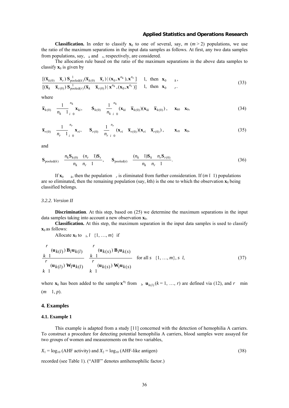**Classification.** In order to classify  $\mathbf{x}_0$  to one of several, say, *m* ( $m > 2$ ) populations, we use the ratio of the maximum separations in the input data samples as follows. At first, any two data samples from populations, say,  $\pi_k$  and  $\pi_r$ , respectively, are considered.

The allocation rule based on the ratio of the maximum separations in the above data samples to classify  $\mathbf{x}_0$  is given by

$$
\frac{\left[ (\overline{\mathbf{x}}_{k(0)} - \overline{\mathbf{x}}_r)'\mathbf{S}_{\text{pooled}(k)}^{-1} (\overline{\mathbf{x}}_{k(0)} - \overline{\mathbf{x}}_r) \mid (\mathbf{x}_0, \mathbf{x}^{n_k}), \mathbf{x}^{n_r} \right]}{\left[ (\overline{\mathbf{x}}_k - \overline{\mathbf{x}}_{r(0)})'\mathbf{S}_{\text{pooled}(r)}^{-1} (\overline{\mathbf{x}}_k - \overline{\mathbf{x}}_{r(0)}) \mid \mathbf{x}^{n_k}, (\mathbf{x}_0, \mathbf{x}^{n_r}) \right]} \ge 1, \text{ then } \mathbf{x}_0 \in \pi_r.
$$
\n(33)

where

$$
\overline{\mathbf{x}}_{k(0)} = \frac{1}{n_k + 1} \sum_{i=0}^{n_k} \mathbf{x}_{ki}, \qquad \mathbf{S}_{k(0)} = \frac{1}{n_k} \sum_{i=0}^{n_k} (\mathbf{x}_{ki} - \overline{\mathbf{x}}_{k(0)})(\mathbf{x}_{ki} - \overline{\mathbf{x}}_{k(0)})', \qquad \mathbf{x}_{k0} \equiv \mathbf{x}_0,
$$
\n(34)

$$
\overline{\mathbf{x}}_{r(0)} = \frac{1}{n_r + 1} \sum_{i=0}^{n_r} \mathbf{x}_{ri}, \quad \mathbf{S}_{r(0)} = \frac{1}{n_r} \sum_{i=0}^{n_r} (\mathbf{x}_{ri} - \overline{\mathbf{x}}_{r(0)})(\mathbf{x}_{ri} - \overline{\mathbf{x}}_{r(0)})', \quad \mathbf{x}_{r0} \equiv \mathbf{x}_0,
$$
\n(35)

and

$$
\mathbf{S}_{\text{pooled}(k)} = \frac{n_k \mathbf{S}_{k(0)} + (n_r - 1)\mathbf{S}_{\text{r}}}{n_k + n_r - 1}, \quad \mathbf{S}_{\text{pooled}(r)} = \frac{(n_k - 1)\mathbf{S}_{k} + n_r \mathbf{S}_{r(0)}}{n_k + n_r - 1}.
$$
 (36)

If **x**<sub>0</sub> ∈  $\pi$ <sub>k</sub>, then the population  $\pi$ <sub>r</sub> is eliminated from further consideration. If (*m* − 1) populations are so eliminated, then the remaining population (say,  $k$ th) is the one to which the observation  $\mathbf{x}_0$  being classified belongs.

#### *3.2.2. Version II*

**Discrimination**. At this step, based on (25) we determine the maximum separations in the input data samples taking into account a new observation **x**0.

**Classification.** At this step, the maximum separation in the input data samples is used to classify  $\mathbf{x}_0$  as follows:

Allocate  $\mathbf{x}_0$  to  $\pi_l$ ,  $l \in \{1, ..., m\}$  if

$$
\frac{\sum_{k=1}^{r} (\mathbf{u}_{k(l)}^{*})^{'} \mathbf{B}_{l} \mathbf{u}_{k(l)}^{*}}{\sum_{k=1}^{r} (\mathbf{u}_{k(l)}^{*})^{'} \mathbf{W}_{l} \mathbf{u}_{k(l)}^{*}} \geq \frac{k=1}{\sum_{k=1}^{r} (\mathbf{u}_{k(s)}^{*})^{'} \mathbf{B}_{i} \mathbf{u}_{k(s)}^{*}}
$$
 for all  $s \in \{1, ..., m\}$ ,  $s \neq l$ ,  
\n $k=1$  (37)

where  $\mathbf{x}_0$  has been added to the sample  $\mathbf{x}^{n_l}$  from  $\pi_l$ ,  $\mathbf{u}_{k(l)}^*(k = 1, ..., r)$  are defined via (12), and  $r \leq \min$  $(m-1, p)$ .

# **4. Examples**

#### **4.1. Example 1**

This example is adapted from a study [11] concerned with the detection of hemophilia A carriers. To construct a procedure for detecting potential hemophilia A carriers, blood samples were assayed for two groups of women and measurements on the two variables,

$$
X_1 = \log_{10} \left( \text{AHF activity} \right) \text{ and } X_2 = \log_{10} \left( \text{AHF-like antigen} \right) \tag{38}
$$

recorded (see Table 1). ("AHF" denotes antihemophilic factor.)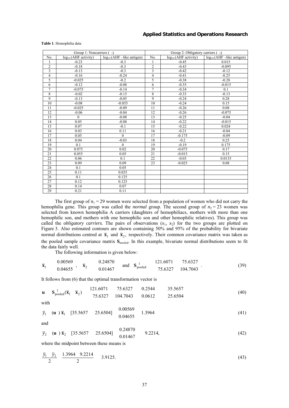| Group 1: Noncarriers $(\pi_1)$ |                                  |                                |                         | Group 2: Obligatory carriers $(\pi)$ |                                |  |  |
|--------------------------------|----------------------------------|--------------------------------|-------------------------|--------------------------------------|--------------------------------|--|--|
| No.                            | log <sub>10</sub> (AHF activity) | $log_{10}(AHF - like antigen)$ | No.                     | $log_{10}(AHF activity)$             | $log_{10}(AHF - like antigen)$ |  |  |
| $\mathbf{1}$                   | $-0.23$                          | $-0.3$                         | 1                       | $-0.45$                              | 0.015                          |  |  |
| $\overline{2}$                 | $-0.18$                          | $-0.3$                         | $\overline{c}$          | $-0.43$                              | $-0.095$                       |  |  |
| 3                              | $-0.13$                          | $-0.3$                         | $\overline{\mathbf{3}}$ | $-0.42$                              | $-0.12$                        |  |  |
| $\overline{4}$                 | $-0.16$                          | $-0.24$                        | 4                       | $-0.41$                              | $-0.25$                        |  |  |
| 5                              | $-0.025$                         | $-0.2$                         | 5                       | $-0.38$                              | $-0.28$                        |  |  |
| 6                              | $-0.12$                          | $-0.08$                        | 6                       | $-0.35$                              | $-0.015$                       |  |  |
| $\overline{7}$                 | $-0.075$                         | $-0.14$                        | $\overline{7}$          | $-0.34$                              | 0.1                            |  |  |
| 8                              | $-0.02$                          | $-0.15$                        | 8                       | $-0.33$                              | $-0.13$                        |  |  |
| 9                              | $-0.13$                          | $-0.05$                        | 9                       | $-0.24$                              | 0.28                           |  |  |
| 10                             | $-0.08$                          | $-0.055$                       | 10                      | $-0.24$                              | 0.15                           |  |  |
| 11                             | $-0.025$                         | $-0.09$                        | 11                      | $-0.26$                              | 0.08                           |  |  |
| 12                             | $-0.06$                          | $-0.04$                        | 12                      | $-0.26$                              | $-0.075$                       |  |  |
| 13                             | $\Omega$                         | $-0.08$                        | 13                      | $-0.25$                              | $-0.04$                        |  |  |
| 14                             | 0.05                             | $-0.08$                        | 14                      | $-0.22$                              | $-0.015$                       |  |  |
| 15                             | 0.07                             | $-0.1$                         | 15                      | $-0.22$                              | 0.024                          |  |  |
| 16                             | 0.03                             | 0.11                           | 16                      | $-0.21$                              | $-0.04$                        |  |  |
| 17                             | 0.05                             | $\overline{0}$                 | 17                      | $-0.175$                             | $-0.09$                        |  |  |
| 18                             | 0.04                             | $-0.03$                        | 18                      | $-0.2$                               | 0.25                           |  |  |
| 19                             | 0.1                              | $\mathbf{0}$                   | 19                      | $-0.19$                              | 0.175                          |  |  |
| 20                             | 0.075                            | 0.02                           | 20                      | $-0.075$                             | 0.17                           |  |  |
| 21                             | 0.055                            | 0.05                           | 21                      | $-0.015$                             | 0.15                           |  |  |
| 22                             | 0.06                             | 0.1                            | 22                      | $-0.03$                              | 0.0135                         |  |  |
| 23                             | 0.09                             | 0.09                           | 23                      | $-0.025$                             | 0.08                           |  |  |
| 24                             | 0.1                              | 0.05                           |                         |                                      |                                |  |  |
| 25                             | 0.11                             | 0.035                          |                         |                                      |                                |  |  |
| 26                             | 0.1                              | 0.125                          |                         |                                      |                                |  |  |
| 27                             | 0.12                             | 0.125                          |                         |                                      |                                |  |  |
| 28                             | 0.14                             | 0.07                           |                         |                                      |                                |  |  |
| 29                             | 0.21                             | 0.11                           |                         |                                      |                                |  |  |

#### **Table 1**. Hemophilia data

The first group of  $n_1 = 29$  women were selected from a population of women who did not carry the hemophilia gene. This group was called the *normal* group. The second group of  $n_2 = 23$  women was selected from known hemophilia A carriers (daughters of hemophiliacs, mothers with more than one hemophilic son, and mothers with one hemophilic son and other hemophilic relatives). This group was called the *obligatory carriers*. The pairs of observations  $(x_1, x_2)$  for the two groups are plotted on Figure 3. Also estimated contours are shown containing 50% and 95% of the probability for bivariate normal distributions centred at  $\bar{\mathbf{x}}_1$  and  $\bar{\mathbf{x}}_2$ , respectively. Their common covariance matrix was taken as the pooled sample covariance matrix S<sub>pooled</sub>. In this example, bivariate normal distributions seem to fit the data fairly well.

The following information is given below:

$$
\overline{\mathbf{x}}_1 = \begin{array}{c} 0.00569 \\ -0.04655 \end{array}, \quad \overline{\mathbf{x}}_2 = \begin{array}{c} -0.24870 \\ 0.01467 \end{array} \quad \text{and} \quad \mathbf{S}_{pooled}^{-1} = \begin{array}{c} 121.6071 & -75.6327 \\ -75.6327 & 104.7043 \end{array} \tag{39}
$$

It follows from (6) that the optimal transformation vector is

$$
\mathbf{u}^* = \mathbf{S}_{pooled}^{-1}(\overline{\mathbf{x}}_1 - \overline{\mathbf{x}}_2) = \begin{array}{ccc} 121.6071 & -75.6327 & 0.2544 \\ -75.6327 & 104.7043 & -0.0612 \end{array} = \begin{array}{cc} 35.5657 \\ -25.6504 \end{array}
$$
(40)

with

$$
\overline{y}_1 = (\mathbf{u}^*)'\overline{\mathbf{x}}_1 = [35.5657 \ -25.6504] \begin{array}{c} 0.00569 \\ -0.04655 \end{array} = 1.3964 \tag{41}
$$

and

$$
\overline{y}_2 = (\mathbf{u}^*)'\overline{\mathbf{x}}_2 = [35.5657 \ -25.6504] \begin{array}{l} -0.24870 \\ -0.01467 \end{array} = -9.2214,
$$
\n(42)

where the midpoint between these means is

$$
\frac{\overline{y}_1 + \overline{y}_2}{2} = \frac{1.3964 - 9.2214}{2} = -3.9125.
$$
 (43)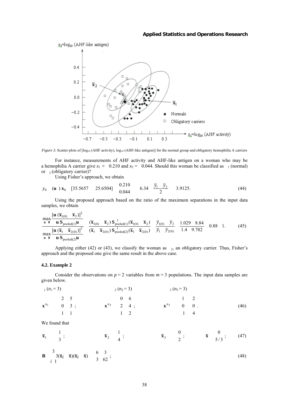

*Figure 3.* Scatter plots of [log<sub>10</sub> (AHF activity), log<sub>10</sub> (AHF-like antigen)] for the normal group and obligatory hemophilia A carriers

For instance, measurements of AHF activity and AHF-like antigen on a woman who may be a hemophilia A carrier give  $x_1 = -0.210$  and  $x_2 = -0.044$ . Should this woman be classified as  $\pi_1$  (normal) or  $\pi_2$  (obligatory carrier)?

Using Fisher's approach, we obtain

$$
y_0 = (\mathbf{u}^*)'\mathbf{x}_0 = [35.5657 \ -25.6504] \begin{array}{l} -0.210 \\ -0.044 \end{array} = -6.34 < \frac{\bar{y}_1 + \bar{y}_2}{2} = -3.9125. \tag{44}
$$

Using the proposed approach based on the ratio of the maximum separations in the input data samples, we obtain

$$
\frac{\max_{\mathbf{u}\neq\mathbf{0}}\frac{\left[\mathbf{u}'(\overline{\mathbf{x}}_{1(0)}-\overline{\mathbf{x}}_{2})\right]^{2}}{\mathbf{u}'\mathbf{S}_{\text{pooled}(1)}\mathbf{u}}}{\max_{\mathbf{u}\neq\mathbf{0}}\frac{\left[\mathbf{u}'(\overline{\mathbf{x}}_{1(0)}-\overline{\mathbf{x}}_{2})\right]^{2}}{\mathbf{u}'\mathbf{S}_{\text{pooled}(2)}\mathbf{u}}} = \frac{(\overline{\mathbf{x}}_{1(0)}-\overline{\mathbf{x}}_{2})'\mathbf{S}_{\text{pooled}(1)}^{-1}(\overline{\mathbf{x}}_{1(0)}-\overline{\mathbf{x}}_{2})}{(\overline{\mathbf{x}}_{1}-\overline{\mathbf{x}}_{2(0)})'\mathbf{S}_{\text{pooled}(2)}^{-1}(\overline{\mathbf{x}}_{1}-\overline{\mathbf{x}}_{2(0)})} = \frac{\overline{y}_{1(0)}-\overline{y}_{2}}{\overline{y}_{1}-\overline{y}_{2(0)}} = \frac{1.029+8.84}{1.4+9.782} = 0.88 < 1.
$$
 (45)

Applying either (42) or (43), we classify the woman as  $\pi_2$ , an obligatory carrier. Thus, Fisher's approach and the proposed one give the same result in the above case.

# **4.2. Example 2**

Consider the observations on  $p = 2$  variables from  $m = 3$  populations. The input data samples are given below.

| $\pi_1 (n_1 = 3)$                                                  | $\pi_2 (n_2 = 3)$                                                 | $\pi_3 (n_3 = 3)$                                                 |
|--------------------------------------------------------------------|-------------------------------------------------------------------|-------------------------------------------------------------------|
| $2 \quad 5$                                                        | $0 \quad 6$                                                       | $1 \quad -2$                                                      |
| $\mathbf{x}^{n_1} = \begin{bmatrix} 0 & 3 \\ -1 & 1 \end{bmatrix}$ | $\mathbf{x}^{n_2} = \begin{bmatrix} 2 & 4 \\ 1 & 2 \end{bmatrix}$ | $\mathbf{x}^{n_3} = \begin{bmatrix} 0 & 0 \\ 0 & 0 \end{bmatrix}$ |

\n(46)

We found that

$$
\overline{\mathbf{x}}_1 = \frac{-1}{3}
$$
;  $\overline{\mathbf{x}}_2 = \frac{1}{4}$ ;  $\overline{\mathbf{x}}_3 = \frac{0}{-2}$ ;  $\overline{\mathbf{x}} = \frac{0}{5/3}$ ; (47)

$$
\mathbf{B} = \sum_{i=1}^{3} 3(\bar{\mathbf{x}}_i - \bar{\mathbf{x}})(\bar{\mathbf{x}}_i - \bar{\mathbf{x}})' = \frac{6}{3} \frac{3}{62} ; \tag{48}
$$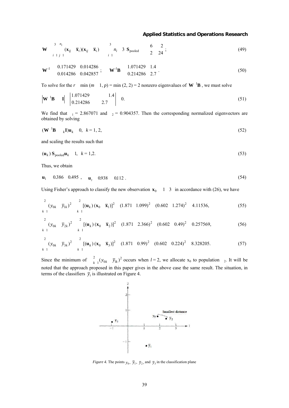$$
\mathbf{W} = \sum_{i=1}^{3} \sum_{j=1}^{n_i} (\mathbf{x}_{ij} - \overline{\mathbf{x}}_i)(\mathbf{x}_{ij} - \overline{\mathbf{x}}_i)' = \sum_{i=1}^{3} n_i - 3 \mathbf{S}_{pooled} = \frac{6}{-2} - \frac{2}{24} ;
$$
 (49)

$$
\mathbf{W}^{-1} = \begin{bmatrix} 0.171429 & 0.014286 \\ 0.014286 & 0.042857 \end{bmatrix}; \quad \mathbf{W}^{-1}\mathbf{B} = \begin{bmatrix} 1.071429 & 1.4 \\ 0.214286 & 2.7 \end{bmatrix}.
$$
 (50)

To solve for the *r* ≤ min  $(m - 1, p) = min(2, 2) = 2$  nonzero eigenvalues of  $W^{-1}B$ , we must solve

$$
\left|\mathbf{W}^{-1}\mathbf{B} - \lambda \mathbf{I}\right| = \begin{vmatrix} 1.071429 - \lambda & 1.4 \\ 0.214286 & 2.7 - \lambda \end{vmatrix} = 0.
$$
 (51)

We find that  $\lambda_1 = 2.867071$  and  $\lambda_2 = 0.904357$ . Then the corresponding normalized eigenvectors are obtained by solving

$$
(\mathbf{W}^{-1}\mathbf{B} - \lambda_k \mathbf{I})\mathbf{u}_k^* = 0, \ \ k = 1, 2,
$$
\n(52)

and scaling the results such that

$$
(\mathbf{u}_{k}^{*})'\mathbf{S}_{pooled}\mathbf{u}_{k}^{*} = 1, \ \ k = 1, 2. \tag{53}
$$

Thus, we obtain

$$
\mathbf{u}_1^* = [0.386 \quad 0.495], \quad \mathbf{u}_2^* = [0.938 \quad -0.112]. \tag{54}
$$

Using Fisher's approach to classify the new observation  $\mathbf{x}'_0 = \begin{bmatrix} 1 & 3 \end{bmatrix}$  in accordance with (26), we have

$$
\sum_{k=1}^{2} (y_{0k} - \overline{y}_{1k})^2 = \sum_{k=1}^{2} [(\mathbf{u}_k^*)'(\mathbf{x}_0 - \overline{\mathbf{x}}_1)]^2 = (1.871 - 1.099)^2 + (0.602 + 1.274)^2 = 4.11536,
$$
\n(55)

$$
\sum_{k=1}^{2} (y_{0k} - \overline{y}_{2k})^2 = \sum_{k=1}^{2} [(\mathbf{u}_k^*)'(\mathbf{x}_0 - \overline{\mathbf{x}}_2)]^2 = (1.871 - 2.366)^2 + (0.602 - 0.49)^2 = 0.257569,
$$
\n(56)

$$
\sum_{k=1}^{2} (y_{0k} - \overline{y}_{3k})^2 = \sum_{k=1}^{2} [(\mathbf{u}_k^*)'(\mathbf{x}_0 - \overline{\mathbf{x}}_3)]^2 = (1.871 + 0.99)^2 + (0.602 - 0.224)^2 = 8.328205.
$$
 (57)

Since the minimum of  $\sum_{k=1}^{2} (y_{0k} \int_{k=1}^{2} (y_{0k} - \overline{y}_{lk})^2$  occurs when  $l = 2$ , we allocate x<sub>0</sub> to population  $\pi_2$ . It will be noted that the approach proposed in this paper gives in the above case the same result. The situation, in terms of the classifiers  $\bar{y}_i$  is illustrated on Figure 4.



*Figure 4.* The points  $y_0$ ,  $\overline{y}_1$ ,  $\overline{y}_2$ , and  $\overline{y}_3$  in the classification plane